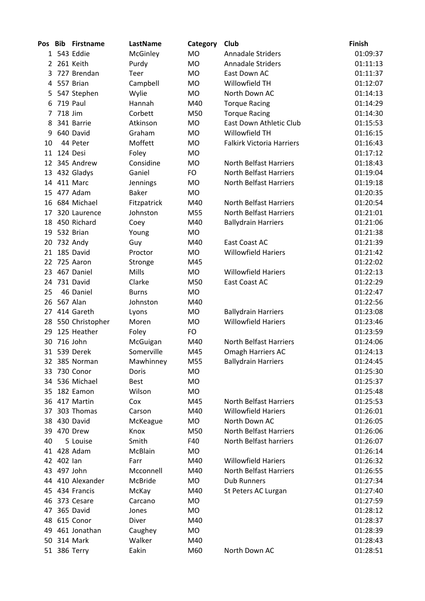| Pos            | - Bib      | <b>Firstname</b>   | LastName     | Category  | Club                             | Finish   |
|----------------|------------|--------------------|--------------|-----------|----------------------------------|----------|
|                |            | 1 543 Eddie        | McGinley     | <b>MO</b> | <b>Annadale Striders</b>         | 01:09:37 |
| $\overline{2}$ |            | 261 Keith          | Purdy        | <b>MO</b> | <b>Annadale Striders</b>         | 01:11:13 |
| 3              |            | 727 Brendan        | Teer         | <b>MO</b> | East Down AC                     | 01:11:37 |
| 4              |            | 557 Brian          | Campbell     | <b>MO</b> | Willowfield TH                   | 01:12:07 |
| 5.             |            | 547 Stephen        | Wylie        | <b>MO</b> | North Down AC                    | 01:14:13 |
| 6              |            | 719 Paul           | Hannah       | M40       | <b>Torque Racing</b>             | 01:14:29 |
| 7              | 718 Jim    |                    | Corbett      | M50       | <b>Torque Racing</b>             | 01:14:30 |
| 8              |            | 341 Barrie         | Atkinson     | MO        | East Down Athletic Club          | 01:15:53 |
| 9              |            | 640 David          | Graham       | <b>MO</b> | Willowfield TH                   | 01:16:15 |
| 10             |            | 44 Peter           | Moffett      | <b>MO</b> | <b>Falkirk Victoria Harriers</b> | 01:16:43 |
| 11             |            | 124 Desi           | Foley        | <b>MO</b> |                                  | 01:17:12 |
| 12             |            | 345 Andrew         | Considine    | <b>MO</b> | North Belfast Harriers           | 01:18:43 |
|                |            | 13 432 Gladys      | Ganiel       | <b>FO</b> | <b>North Belfast Harriers</b>    | 01:19:04 |
|                |            | 14 411 Marc        | Jennings     | <b>MO</b> | <b>North Belfast Harriers</b>    | 01:19:18 |
| 15             |            | 477 Adam           | <b>Baker</b> | MO        |                                  | 01:20:35 |
| 16             |            | 684 Michael        | Fitzpatrick  | M40       | <b>North Belfast Harriers</b>    | 01:20:54 |
| 17             |            | 320 Laurence       | Johnston     | M55       | <b>North Belfast Harriers</b>    | 01:21:01 |
| 18             |            | 450 Richard        | Coey         | M40       | <b>Ballydrain Harriers</b>       | 01:21:06 |
|                |            | 19 532 Brian       | Young        | MO        |                                  | 01:21:38 |
| 20             |            | 732 Andy           | Guy          | M40       | East Coast AC                    | 01:21:39 |
| 21             |            | 185 David          | Proctor      | MO        | <b>Willowfield Hariers</b>       | 01:21:42 |
| 22             |            | 725 Aaron          | Stronge      | M45       |                                  | 01:22:02 |
| 23             |            | 467 Daniel         | Mills        | <b>MO</b> | <b>Willowfield Hariers</b>       | 01:22:13 |
| 24             |            | 731 David          | Clarke       | M50       | East Coast AC                    | 01:22:29 |
| 25             |            | 46 Daniel          | <b>Burns</b> | MO        |                                  | 01:22:47 |
| 26             | 567 Alan   |                    | Johnston     | M40       |                                  | 01:22:56 |
| 27             |            | 414 Gareth         | Lyons        | MO        | <b>Ballydrain Harriers</b>       | 01:23:08 |
|                |            | 28 550 Christopher | Moren        | <b>MO</b> | <b>Willowfield Hariers</b>       | 01:23:46 |
| 29             |            | 125 Heather        | Foley        | <b>FO</b> |                                  | 01:23:59 |
| 30             |            | 716 John           | McGuigan     | M40       | North Belfast Harriers           | 01:24:06 |
|                |            | 31 539 Derek       | Somerville   | M45       | <b>Omagh Harriers AC</b>         | 01:24:13 |
| 32             |            | 385 Norman         | Mawhinney    | M55       | <b>Ballydrain Harriers</b>       | 01:24:45 |
| 33             |            | 730 Conor          | Doris        | MO        |                                  | 01:25:30 |
| 34             |            | 536 Michael        | <b>Best</b>  | MO        |                                  | 01:25:37 |
|                |            | 35 182 Eamon       | Wilson       | <b>MO</b> |                                  | 01:25:48 |
|                |            | 36 417 Martin      | Cox          | M45       | North Belfast Harriers           | 01:25:53 |
|                |            | 37 303 Thomas      | Carson       | M40       | <b>Willowfield Hariers</b>       | 01:26:01 |
|                |            | 38 430 David       | McKeague     | <b>MO</b> | North Down AC                    | 01:26:05 |
|                |            | 39 470 Drew        | Knox         | M50       | <b>North Belfast Harriers</b>    | 01:26:06 |
| 40             |            | 5 Louise           | Smith        | F40       | North Belfast harriers           | 01:26:07 |
|                |            | 41 428 Adam        | McBlain      | MO        |                                  | 01:26:14 |
|                | 42 402 lan |                    | Farr         | M40       | <b>Willowfield Hariers</b>       | 01:26:32 |
|                |            | 43 497 John        | Mcconnell    | M40       | <b>North Belfast Harriers</b>    | 01:26:55 |
|                |            | 44 410 Alexander   | McBride      | MO        | <b>Dub Runners</b>               | 01:27:34 |
|                |            | 45 434 Francis     | McKay        | M40       | St Peters AC Lurgan              | 01:27:40 |
| 46             |            | 373 Cesare         | Carcano      | MO        |                                  | 01:27:59 |
| 47             |            | 365 David          | Jones        | MO        |                                  | 01:28:12 |
| 48             |            | 615 Conor          | Diver        | M40       |                                  | 01:28:37 |
| 49             |            | 461 Jonathan       | Caughey      | MO        |                                  | 01:28:39 |
|                |            | 50 314 Mark        | Walker       | M40       |                                  | 01:28:43 |
|                |            | 51 386 Terry       | Eakin        | M60       | North Down AC                    | 01:28:51 |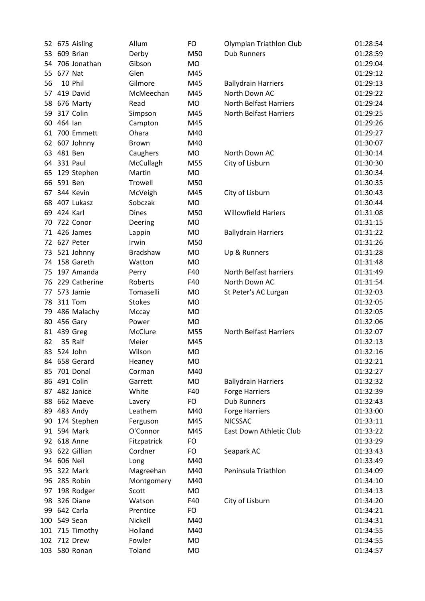|    | 52 675 Aisling  | Allum           | FO        | Olympian Triathlon Club       | 01:28:54 |
|----|-----------------|-----------------|-----------|-------------------------------|----------|
|    | 53 609 Brian    | Derby           | M50       | <b>Dub Runners</b>            | 01:28:59 |
|    | 54 706 Jonathan | Gibson          | <b>MO</b> |                               | 01:29:04 |
|    | 55 677 Nat      | Glen            | M45       |                               | 01:29:12 |
| 56 | 10 Phil         | Gilmore         | M45       | <b>Ballydrain Harriers</b>    | 01:29:13 |
|    | 57 419 David    | McMeechan       | M45       | North Down AC                 | 01:29:22 |
| 58 | 676 Marty       | Read            | <b>MO</b> | North Belfast Harriers        | 01:29:24 |
|    | 59 317 Colin    | Simpson         | M45       | North Belfast Harriers        | 01:29:25 |
|    | 60 464 lan      | Campton         | M45       |                               | 01:29:26 |
|    | 61 700 Emmett   | Ohara           | M40       |                               | 01:29:27 |
|    | 62 607 Johnny   | <b>Brown</b>    | M40       |                               | 01:30:07 |
|    | 63 481 Ben      | Caughers        | MO        | North Down AC                 | 01:30:14 |
|    | 64 331 Paul     | McCullagh       | M55       | City of Lisburn               | 01:30:30 |
| 65 | 129 Stephen     | Martin          | <b>MO</b> |                               | 01:30:34 |
|    | 66 591 Ben      | Trowell         | M50       |                               | 01:30:35 |
|    | 67 344 Kevin    | McVeigh         | M45       | City of Lisburn               | 01:30:43 |
|    | 68 407 Lukasz   | Sobczak         | MO        |                               | 01:30:44 |
| 69 | 424 Karl        | <b>Dines</b>    | M50       | <b>Willowfield Hariers</b>    | 01:31:08 |
| 70 | 722 Conor       | Deering         | MO        |                               | 01:31:15 |
|    | 71 426 James    | Lappin          | <b>MO</b> | <b>Ballydrain Harriers</b>    | 01:31:22 |
|    | 72 627 Peter    | Irwin           | M50       |                               | 01:31:26 |
|    | 73 521 Johnny   | <b>Bradshaw</b> | <b>MO</b> | Up & Runners                  | 01:31:28 |
|    | 74 158 Gareth   | Watton          | MO        |                               | 01:31:48 |
| 75 | 197 Amanda      | Perry           | F40       | North Belfast harriers        | 01:31:49 |
| 76 | 229 Catherine   | Roberts         | F40       | North Down AC                 | 01:31:54 |
|    | 77 573 Jamie    | Tomaselli       | MO        | St Peter's AC Lurgan          | 01:32:03 |
|    | 78 311 Tom      | <b>Stokes</b>   | <b>MO</b> |                               | 01:32:05 |
|    | 79 486 Malachy  | Mccay           | <b>MO</b> |                               | 01:32:05 |
|    | 80 456 Gary     | Power           | MO        |                               | 01:32:06 |
|    | 81 439 Greg     | McClure         | M55       | <b>North Belfast Harriers</b> | 01:32:07 |
| 82 | 35 Ralf         | Meier           | M45       |                               | 01:32:13 |
|    | 83 524 John     | Wilson          | MO        |                               | 01:32:16 |
| 84 | 658 Gerard      | Heaney          | <b>MO</b> |                               | 01:32:21 |
| 85 | 701 Donal       | Corman          | M40       |                               | 01:32:27 |
|    | 86 491 Colin    | Garrett         | <b>MO</b> | <b>Ballydrain Harriers</b>    | 01:32:32 |
|    | 87 482 Janice   | White           | F40       | <b>Forge Harriers</b>         | 01:32:39 |
| 88 | 662 Maeve       | Lavery          | FO        | <b>Dub Runners</b>            | 01:32:43 |
|    | 89 483 Andy     | Leathem         | M40       | <b>Forge Harriers</b>         | 01:33:00 |
| 90 | 174 Stephen     | Ferguson        | M45       | <b>NICSSAC</b>                | 01:33:11 |
|    | 91 594 Mark     | O'Connor        | M45       | East Down Athletic Club       | 01:33:22 |
|    | 92 618 Anne     | Fitzpatrick     | FO        |                               | 01:33:29 |
|    | 93 622 Gillian  | Cordner         | FO        | Seapark AC                    | 01:33:43 |
|    | 94 606 Neil     | Long            | M40       |                               | 01:33:49 |
| 95 | 322 Mark        | Magreehan       | M40       | Peninsula Triathlon           | 01:34:09 |
| 96 | 285 Robin       | Montgomery      | M40       |                               | 01:34:10 |
| 97 | 198 Rodger      | Scott           | MO        |                               | 01:34:13 |
| 98 | 326 Diane       | Watson          | F40       | City of Lisburn               | 01:34:20 |
| 99 | 642 Carla       | Prentice        | FO        |                               | 01:34:21 |
|    | 100 549 Sean    | Nickell         | M40       |                               | 01:34:31 |
|    | 101 715 Timothy | Holland         | M40       |                               | 01:34:55 |
|    | 102 712 Drew    | Fowler          | MO        |                               | 01:34:55 |
|    | 103 580 Ronan   | Toland          | <b>MO</b> |                               | 01:34:57 |
|    |                 |                 |           |                               |          |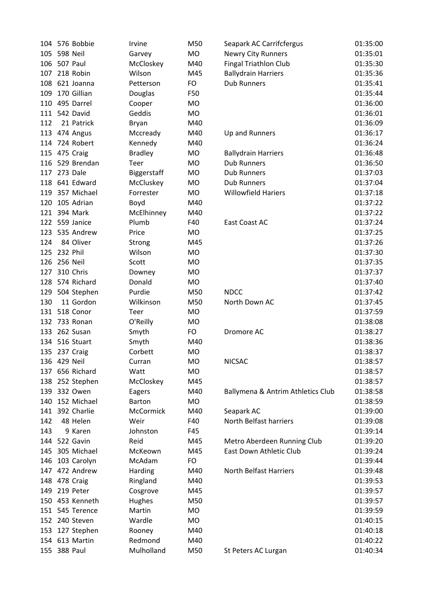|     | 104 576 Bobbie  | Irvine         | M50       | Seapark AC Carrifcfergus          | 01:35:00 |
|-----|-----------------|----------------|-----------|-----------------------------------|----------|
| 105 | 598 Neil        | Garvey         | MO        | <b>Newry City Runners</b>         | 01:35:01 |
|     | 106 507 Paul    | McCloskey      | M40       | <b>Fingal Triathlon Club</b>      | 01:35:30 |
|     | 107 218 Robin   | Wilson         | M45       | <b>Ballydrain Harriers</b>        | 01:35:36 |
|     | 108 621 Joanna  | Petterson      | FO        | <b>Dub Runners</b>                | 01:35:41 |
| 109 | 170 Gillian     | Douglas        | F50       |                                   | 01:35:44 |
|     | 110 495 Darrel  | Cooper         | <b>MO</b> |                                   | 01:36:00 |
|     | 111 542 David   | Geddis         | <b>MO</b> |                                   | 01:36:01 |
| 112 | 21 Patrick      | Bryan          | M40       |                                   | 01:36:09 |
|     | 113 474 Angus   | Mccready       | M40       | Up and Runners                    | 01:36:17 |
|     | 114 724 Robert  | Kennedy        | M40       |                                   | 01:36:24 |
|     | 115 475 Craig   | <b>Bradley</b> | <b>MO</b> | <b>Ballydrain Harriers</b>        | 01:36:48 |
|     | 116 529 Brendan | Teer           | <b>MO</b> | <b>Dub Runners</b>                | 01:36:50 |
|     | 117 273 Dale    | Biggerstaff    | <b>MO</b> | <b>Dub Runners</b>                | 01:37:03 |
|     | 118 641 Edward  | McCluskey      | <b>MO</b> | <b>Dub Runners</b>                | 01:37:04 |
|     | 119 357 Michael | Forrester      | <b>MO</b> | <b>Willowfield Hariers</b>        | 01:37:18 |
|     | 120 105 Adrian  | Boyd           | M40       |                                   | 01:37:22 |
|     | 121 394 Mark    | McElhinney     | M40       |                                   | 01:37:22 |
|     | 122 559 Janice  | Plumb          | F40       | <b>East Coast AC</b>              | 01:37:24 |
|     | 123 535 Andrew  | Price          | <b>MO</b> |                                   | 01:37:25 |
| 124 | 84 Oliver       | Strong         | M45       |                                   | 01:37:26 |
|     | 125 232 Phil    | Wilson         | <b>MO</b> |                                   | 01:37:30 |
|     | 126 256 Neil    | Scott          | <b>MO</b> |                                   | 01:37:35 |
| 127 | 310 Chris       | Downey         | <b>MO</b> |                                   | 01:37:37 |
|     | 128 574 Richard | Donald         | <b>MO</b> |                                   | 01:37:40 |
|     | 129 504 Stephen | Purdie         | M50       | <b>NDCC</b>                       | 01:37:42 |
| 130 | 11 Gordon       | Wilkinson      | M50       | North Down AC                     | 01:37:45 |
|     | 131 518 Conor   | Teer           | <b>MO</b> |                                   | 01:37:59 |
|     | 132 733 Ronan   | O'Reilly       | <b>MO</b> |                                   | 01:38:08 |
|     | 133 262 Susan   | Smyth          | <b>FO</b> | Dromore AC                        | 01:38:27 |
|     | 134 516 Stuart  | Smyth          | M40       |                                   | 01:38:36 |
|     | 135 237 Craig   | Corbett        | <b>MO</b> |                                   | 01:38:37 |
|     | 136 429 Neil    | Curran         | <b>MO</b> | <b>NICSAC</b>                     | 01:38:57 |
|     | 137 656 Richard | Watt           | <b>MO</b> |                                   | 01:38:57 |
|     | 138 252 Stephen | McCloskey      | M45       |                                   | 01:38:57 |
| 139 | 332 Owen        | Eagers         | M40       | Ballymena & Antrim Athletics Club | 01:38:58 |
| 140 | 152 Michael     | <b>Barton</b>  | <b>MO</b> |                                   | 01:38:59 |
|     | 141 392 Charlie | McCormick      | M40       | Seapark AC                        | 01:39:00 |
| 142 | 48 Helen        | Weir           | F40       | North Belfast harriers            | 01:39:08 |
| 143 | 9 Karen         | Johnston       | F45       |                                   | 01:39:14 |
|     | 144 522 Gavin   | Reid           | M45       | Metro Aberdeen Running Club       | 01:39:20 |
|     | 145 305 Michael | McKeown        | M45       | East Down Athletic Club           | 01:39:24 |
|     | 146 103 Carolyn | McAdam         | FO        |                                   | 01:39:44 |
|     | 147 472 Andrew  | Harding        | M40       | North Belfast Harriers            | 01:39:48 |
|     | 148 478 Craig   | Ringland       | M40       |                                   | 01:39:53 |
| 149 | 219 Peter       | Cosgrove       | M45       |                                   | 01:39:57 |
|     | 150 453 Kenneth | Hughes         | M50       |                                   | 01:39:57 |
|     | 151 545 Terence | Martin         | <b>MO</b> |                                   | 01:39:59 |
|     | 152 240 Steven  | Wardle         | <b>MO</b> |                                   | 01:40:15 |
| 153 | 127 Stephen     | Rooney         | M40       |                                   | 01:40:18 |
|     | 154 613 Martin  | Redmond        | M40       |                                   | 01:40:22 |
|     | 155 388 Paul    | Mulholland     | M50       | St Peters AC Lurgan               | 01:40:34 |
|     |                 |                |           |                                   |          |

| Seapark AC Carrifcfergus          | 01:35:00 |
|-----------------------------------|----------|
| <b>Newry City Runners</b>         | 01:35:01 |
| <b>Fingal Triathlon Club</b>      | 01:35:30 |
| <b>Ballydrain Harriers</b>        | 01:35:36 |
| <b>Dub Runners</b>                | 01:35:41 |
|                                   | 01:35:44 |
|                                   | 01:36:00 |
|                                   | 01:36:01 |
|                                   | 01:36:09 |
| Up and Runners                    | 01:36:17 |
|                                   | 01:36:24 |
| <b>Ballydrain Harriers</b>        | 01:36:48 |
| <b>Dub Runners</b>                | 01:36:50 |
| <b>Dub Runners</b>                | 01:37:03 |
| <b>Dub Runners</b>                | 01:37:04 |
| <b>Willowfield Hariers</b>        | 01:37:18 |
|                                   | 01:37:22 |
|                                   | 01:37:22 |
| East Coast AC                     | 01:37:24 |
|                                   | 01:37:25 |
|                                   | 01:37:26 |
|                                   | 01:37:30 |
|                                   | 01:37:35 |
|                                   | 01:37:37 |
|                                   | 01:37:40 |
| <b>NDCC</b>                       | 01:37:42 |
| North Down AC                     | 01:37:45 |
|                                   | 01:37:59 |
|                                   | 01:38:08 |
| Dromore AC                        | 01:38:27 |
|                                   | 01:38:36 |
|                                   | 01:38:37 |
| <b>NICSAC</b>                     | 01:38:57 |
|                                   | 01:38:57 |
|                                   | 01:38:57 |
| Ballymena & Antrim Athletics Club | 01:38:58 |
|                                   | 01:38:59 |
| Seapark AC                        | 01:39:00 |
| North Belfast harriers            | 01:39:08 |
|                                   | 01:39:14 |
| Metro Aberdeen Running Club       | 01:39:20 |
| East Down Athletic Club           | 01:39:24 |
|                                   | 01:39:44 |
| <b>North Belfast Harriers</b>     | 01:39:48 |
|                                   | 01:39:53 |
|                                   | 01:39:57 |
|                                   | 01:39:57 |
|                                   | 01:39:59 |
|                                   | 01:40:15 |
|                                   | 01:40:18 |
|                                   | 01:40:22 |
| St Peters AC Lurgan               | 01:40:34 |
|                                   |          |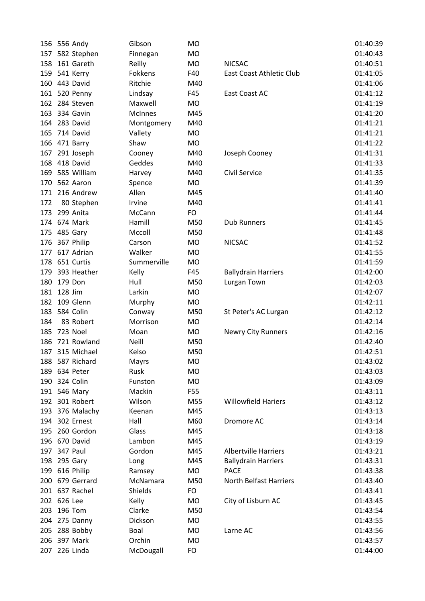|     | 156 556 Andy              | Gibson             | <b>MO</b>        |                               | 01:40:39 |
|-----|---------------------------|--------------------|------------------|-------------------------------|----------|
| 157 | 582 Stephen               | Finnegan           | <b>MO</b>        |                               | 01:40:43 |
| 158 | 161 Gareth                | Reilly             | <b>MO</b>        | <b>NICSAC</b>                 | 01:40:51 |
| 159 | 541 Kerry                 | Fokkens            | F40              | East Coast Athletic Club      | 01:41:05 |
|     | 160 443 David             | Ritchie            | M40              |                               | 01:41:06 |
|     | 161 520 Penny             | Lindsay            | F45              | East Coast AC                 | 01:41:12 |
| 162 | 284 Steven                | Maxwell            | <b>MO</b>        |                               | 01:41:19 |
| 163 | 334 Gavin                 | <b>McInnes</b>     | M45              |                               | 01:41:20 |
| 164 | 283 David                 | Montgomery         | M40              |                               | 01:41:21 |
| 165 | 714 David                 | Vallety            | <b>MO</b>        |                               | 01:41:21 |
| 166 | 471 Barry                 | Shaw               | <b>MO</b>        |                               | 01:41:22 |
| 167 | 291 Joseph                | Cooney             | M40              | Joseph Cooney                 | 01:41:31 |
| 168 | 418 David                 | Geddes             | M40              |                               | 01:41:33 |
| 169 | 585 William               | Harvey             | M40              | <b>Civil Service</b>          | 01:41:35 |
| 170 | 562 Aaron                 | Spence             | <b>MO</b>        |                               | 01:41:39 |
| 171 | 216 Andrew                | Allen              | M45              |                               | 01:41:40 |
| 172 | 80 Stephen                | Irvine             | M40              |                               | 01:41:41 |
| 173 | 299 Anita                 | McCann             | <b>FO</b>        |                               | 01:41:44 |
|     | 174 674 Mark              | Hamill             | M50              | <b>Dub Runners</b>            | 01:41:45 |
| 175 | 485 Gary                  | Mccoll             | M50              |                               | 01:41:48 |
| 176 | 367 Philip                | Carson             | <b>MO</b>        | <b>NICSAC</b>                 | 01:41:52 |
| 177 | 617 Adrian                | Walker             | <b>MO</b>        |                               | 01:41:55 |
| 178 | 651 Curtis                | Summerville        | <b>MO</b>        |                               | 01:41:59 |
| 179 | 393 Heather               | Kelly              | F45              | <b>Ballydrain Harriers</b>    | 01:42:00 |
| 180 | 179 Don                   | Hull               | M50              | Lurgan Town                   | 01:42:03 |
| 181 | 128 Jim                   | Larkin             | <b>MO</b>        |                               | 01:42:07 |
| 182 | 109 Glenn                 | Murphy             | <b>MO</b>        |                               | 01:42:11 |
| 183 | 584 Colin                 | Conway             | M50              | St Peter's AC Lurgan          | 01:42:12 |
| 184 | 83 Robert                 | Morrison           | <b>MO</b>        |                               | 01:42:14 |
| 185 | 723 Noel                  | Moan               | <b>MO</b>        | <b>Newry City Runners</b>     | 01:42:16 |
| 186 | 721 Rowland               | Neill              | M50              |                               | 01:42:40 |
| 187 | 315 Michael               | Kelso              | M50              |                               | 01:42:51 |
| 188 | 587 Richard               | Mayrs              | <b>MO</b>        |                               | 01:43:02 |
|     | 189 634 Peter             | Rusk               | <b>MO</b>        |                               | 01:43:03 |
|     | 190 324 Colin             | Funston            | <b>MO</b>        |                               | 01:43:09 |
|     | 191 546 Mary              | Mackin             | F55              |                               | 01:43:11 |
|     | 192 301 Robert            | Wilson             | M55              | <b>Willowfield Hariers</b>    | 01:43:12 |
|     | 193 376 Malachy           | Keenan             | M45              |                               | 01:43:13 |
|     | 194 302 Ernest            | Hall               | M60              | Dromore AC                    | 01:43:14 |
| 195 | 260 Gordon                | Glass              | M45              |                               | 01:43:18 |
|     | 196 670 David             | Lambon             | M45              |                               | 01:43:19 |
|     | 197 347 Paul              | Gordon             | M45              | <b>Albertville Harriers</b>   | 01:43:21 |
| 198 | 295 Gary                  |                    | M45              | <b>Ballydrain Harriers</b>    | 01:43:31 |
|     | 199 616 Philip            | Long               | MO               | <b>PACE</b>                   | 01:43:38 |
|     | 200 679 Gerrard           | Ramsey<br>McNamara | M50              | <b>North Belfast Harriers</b> | 01:43:40 |
|     | 201 637 Rachel            | Shields            | <b>FO</b>        |                               | 01:43:41 |
|     |                           |                    |                  |                               |          |
|     | 202 626 Lee<br>196 Tom    | Kelly<br>Clarke    | <b>MO</b><br>M50 | City of Lisburn AC            | 01:43:45 |
| 203 |                           |                    |                  |                               | 01:43:54 |
|     | 204 275 Danny             | Dickson            | MO               |                               | 01:43:55 |
| 205 | 288 Bobby<br>206 397 Mark | Boal               | MO               | Larne AC                      | 01:43:56 |
|     |                           | Orchin             | <b>MO</b>        |                               | 01:43:57 |
| 207 | 226 Linda                 | McDougall          | <b>FO</b>        |                               | 01:44:00 |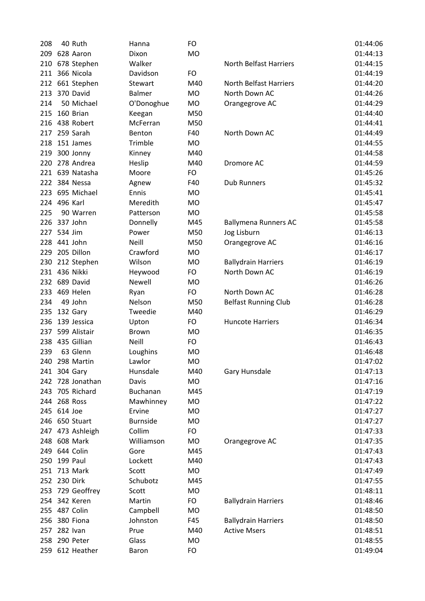| 208 | 40 Ruth          | Hanna           | FO        |                               | 01:44:06 |
|-----|------------------|-----------------|-----------|-------------------------------|----------|
| 209 | 628 Aaron        | Dixon           | <b>MO</b> |                               | 01:44:13 |
| 210 | 678 Stephen      | Walker          |           | <b>North Belfast Harriers</b> | 01:44:15 |
| 211 | 366 Nicola       | Davidson        | FO        |                               | 01:44:19 |
| 212 | 661 Stephen      | Stewart         | M40       | <b>North Belfast Harriers</b> | 01:44:20 |
| 213 | 370 David        | <b>Balmer</b>   | <b>MO</b> | North Down AC                 | 01:44:26 |
| 214 | 50 Michael       | O'Donoghue      | <b>MO</b> | Orangegrove AC                | 01:44:29 |
| 215 | 160 Brian        | Keegan          | M50       |                               | 01:44:40 |
|     | 216 438 Robert   | McFerran        | M50       |                               | 01:44:41 |
| 217 | 259 Sarah        | Benton          | F40       | North Down AC                 | 01:44:49 |
| 218 | 151 James        | Trimble         | <b>MO</b> |                               | 01:44:55 |
| 219 | 300 Jonny        | Kinney          | M40       |                               | 01:44:58 |
| 220 | 278 Andrea       | Heslip          | M40       | Dromore AC                    | 01:44:59 |
|     | 221 639 Natasha  | Moore           | FO        |                               | 01:45:26 |
| 222 | 384 Nessa        | Agnew           | F40       | <b>Dub Runners</b>            | 01:45:32 |
| 223 | 695 Michael      | Ennis           | <b>MO</b> |                               | 01:45:41 |
| 224 | 496 Karl         | Meredith        | <b>MO</b> |                               | 01:45:47 |
| 225 | 90 Warren        | Patterson       | <b>MO</b> |                               | 01:45:58 |
| 226 | 337 John         | Donnelly        | M45       | <b>Ballymena Runners AC</b>   | 01:45:58 |
|     | 227 534 Jim      | Power           | M50       | Jog Lisburn                   | 01:46:13 |
| 228 | 441 John         | Neill           | M50       | Orangegrove AC                | 01:46:16 |
| 229 | 205 Dillon       | Crawford        | <b>MO</b> |                               | 01:46:17 |
| 230 | 212 Stephen      | Wilson          | <b>MO</b> | <b>Ballydrain Harriers</b>    | 01:46:19 |
|     | 231 436 Nikki    | Heywood         | FO        | North Down AC                 | 01:46:19 |
|     | 232 689 David    | Newell          | <b>MO</b> |                               | 01:46:26 |
| 233 | 469 Helen        | Ryan            | FO        | North Down AC                 | 01:46:28 |
| 234 | 49 John          | Nelson          | M50       | <b>Belfast Running Club</b>   | 01:46:28 |
| 235 | 132 Gary         | Tweedie         | M40       |                               | 01:46:29 |
| 236 | 139 Jessica      | Upton           | FO        | <b>Huncote Harriers</b>       | 01:46:34 |
| 237 | 599 Alistair     | <b>Brown</b>    | <b>MO</b> |                               | 01:46:35 |
| 238 | 435 Gillian      | <b>Neill</b>    | FO        |                               | 01:46:43 |
| 239 | 63 Glenn         | Loughins        | <b>MO</b> |                               | 01:46:48 |
| 240 | 298 Martin       | Lawlor          | MO        |                               | 01:47:02 |
|     | 241 304 Gary     | Hunsdale        | M40       | Gary Hunsdale                 | 01:47:13 |
|     | 242 728 Jonathan | Davis           | <b>MO</b> |                               | 01:47:16 |
| 243 | 705 Richard      | Buchanan        | M45       |                               | 01:47:19 |
| 244 | 268 Ross         | Mawhinney       | MO        |                               | 01:47:22 |
|     | 245 614 Joe      | Ervine          | MO        |                               | 01:47:27 |
| 246 | 650 Stuart       | <b>Burnside</b> | MO        |                               | 01:47:27 |
|     | 247 473 Ashleigh | Collim          | FO        |                               | 01:47:33 |
|     | 248 608 Mark     | Williamson      | MO        | Orangegrove AC                | 01:47:35 |
|     | 249 644 Colin    | Gore            | M45       |                               | 01:47:43 |
| 250 | 199 Paul         | Lockett         | M40       |                               | 01:47:43 |
|     | 251 713 Mark     | Scott           | MO        |                               | 01:47:49 |
|     | 252 230 Dirk     | Schubotz        | M45       |                               | 01:47:55 |
| 253 | 729 Geoffrey     | Scott           | MO        |                               | 01:48:11 |
|     | 254 342 Keren    | Martin          | FO        | <b>Ballydrain Harriers</b>    | 01:48:46 |
|     | 255 487 Colin    | Campbell        | MO        |                               | 01:48:50 |
| 256 | 380 Fiona        | Johnston        | F45       | <b>Ballydrain Harriers</b>    | 01:48:50 |
| 257 | 282 Ivan         | Prue            | M40       | <b>Active Msers</b>           | 01:48:51 |
| 258 | 290 Peter        | Glass           | <b>MO</b> |                               | 01:48:55 |
|     | 259 612 Heather  | Baron           | FO        |                               | 01:49:04 |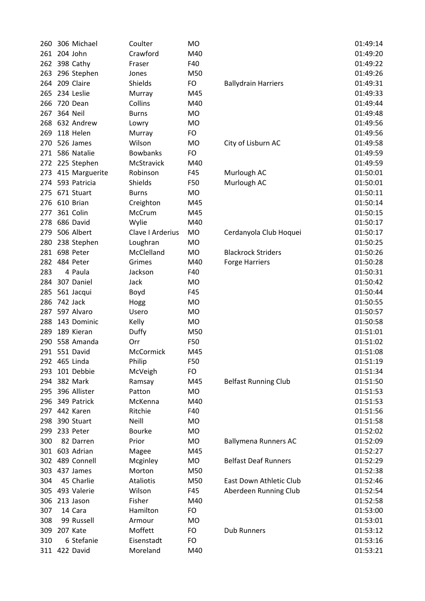| 260 | 306 Michael     | Coulter          | <b>MO</b> |                             | 01:49:14             |
|-----|-----------------|------------------|-----------|-----------------------------|----------------------|
|     | 261 204 John    | Crawford         | M40       |                             | 01:49:20             |
| 262 | 398 Cathy       | Fraser           | F40       |                             | 01:49:22             |
| 263 | 296 Stephen     | Jones            | M50       |                             | 01:49:26             |
| 264 | 209 Claire      | Shields          | FO        | <b>Ballydrain Harriers</b>  | 01:49:31             |
| 265 | 234 Leslie      | Murray           | M45       |                             | 01:49:33             |
| 266 | 720 Dean        | Collins          | M40       |                             | 01:49:44             |
| 267 | <b>364 Neil</b> | <b>Burns</b>     | <b>MO</b> |                             | 01:49:48             |
| 268 | 632 Andrew      | Lowry            | <b>MO</b> |                             | 01:49:56             |
| 269 | 118 Helen       | Murray           | FO        |                             | 01:49:56             |
| 270 | 526 James       | Wilson           | <b>MO</b> | City of Lisburn AC          | 01:49:58             |
| 271 | 586 Natalie     | <b>Bowbanks</b>  | <b>FO</b> |                             | 01:49:59             |
| 272 | 225 Stephen     | McStravick       | M40       |                             | 01:49:59             |
| 273 | 415 Marguerite  | Robinson         | F45       | Murlough AC                 | 01:50:01             |
| 274 | 593 Patricia    | Shields          | F50       | Murlough AC                 | 01:50:01             |
| 275 | 671 Stuart      | <b>Burns</b>     | MO        |                             | 01:50:11             |
| 276 | 610 Brian       | Creighton        | M45       |                             | 01:50:14             |
| 277 | 361 Colin       | McCrum           | M45       |                             | 01:50:15             |
| 278 | 686 David       | Wylie            | M40       |                             | 01:50:17             |
| 279 | 506 Albert      | Clave I Arderius | <b>MO</b> | Cerdanyola Club Hoquei      | 01:50:17             |
| 280 | 238 Stephen     | Loughran         | <b>MO</b> |                             | 01:50:25             |
| 281 | 698 Peter       | McClelland       | <b>MO</b> | <b>Blackrock Striders</b>   | 01:50:26             |
| 282 | 484 Peter       | Grimes           | M40       | <b>Forge Harriers</b>       | 01:50:28             |
| 283 | 4 Paula         | Jackson          | F40       |                             | 01:50:31             |
| 284 | 307 Daniel      | Jack             | <b>MO</b> |                             | 01:50:42             |
| 285 | 561 Jacqui      | Boyd             | F45       |                             | 01:50:44             |
| 286 | 742 Jack        | Hogg             | <b>MO</b> |                             | 01:50:55             |
| 287 | 597 Alvaro      | Usero            | <b>MO</b> |                             | 01:50:57             |
| 288 | 143 Dominic     | Kelly            | <b>MO</b> |                             | 01:50:58             |
| 289 | 189 Kieran      |                  | M50       |                             | 01:51:01             |
| 290 | 558 Amanda      | Duffy<br>Orr     | F50       |                             | 01:51:02             |
|     | 291 551 David   | McCormick        | M45       |                             |                      |
|     | 292 465 Linda   |                  |           |                             | 01:51:08<br>01:51:19 |
|     | 101 Debbie      | Philip           | F50       |                             |                      |
| 293 | 382 Mark        | McVeigh          | FO        |                             | 01:51:34<br>01:51:50 |
| 294 | 396 Allister    | Ramsay           | M45       | <b>Belfast Running Club</b> |                      |
| 295 |                 | Patton           | <b>MO</b> |                             | 01:51:53             |
| 296 | 349 Patrick     | McKenna          | M40       |                             | 01:51:53             |
|     | 297 442 Karen   | Ritchie          | F40       |                             | 01:51:56             |
| 298 | 390 Stuart      | Neill            | <b>MO</b> |                             | 01:51:58             |
| 299 | 233 Peter       | <b>Bourke</b>    | <b>MO</b> |                             | 01:52:02             |
| 300 | 82 Darren       | Prior            | MO        | <b>Ballymena Runners AC</b> | 01:52:09             |
| 301 | 603 Adrian      | Magee            | M45       |                             | 01:52:27             |
| 302 | 489 Connell     | Mcginley         | MO        | <b>Belfast Deaf Runners</b> | 01:52:29             |
| 303 | 437 James       | Morton           | M50       |                             | 01:52:38             |
| 304 | 45 Charlie      | <b>Ataliotis</b> | M50       | East Down Athletic Club     | 01:52:46             |
| 305 | 493 Valerie     | Wilson           | F45       | Aberdeen Running Club       | 01:52:54             |
| 306 | 213 Jason       | Fisher           | M40       |                             | 01:52:58             |
| 307 | 14 Cara         | Hamilton         | FO        |                             | 01:53:00             |
| 308 | 99 Russell      | Armour           | <b>MO</b> |                             | 01:53:01             |
| 309 | 207 Kate        | Moffett          | FO        | <b>Dub Runners</b>          | 01:53:12             |
| 310 | 6 Stefanie      | Eisenstadt       | FO        |                             | 01:53:16             |
|     | 311 422 David   | Moreland         | M40       |                             | 01:53:21             |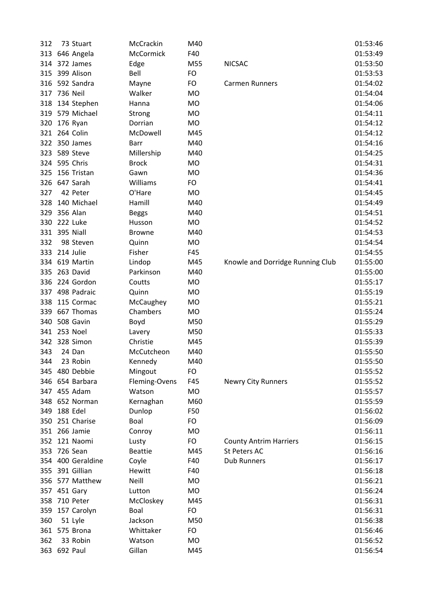| 312 | 73 Stuart         | McCrackin               | M40       |                                               | 01:53:46 |
|-----|-------------------|-------------------------|-----------|-----------------------------------------------|----------|
| 313 | 646 Angela        | McCormick               | F40       |                                               | 01:53:49 |
| 314 | 372 James         | Edge                    | M55       | <b>NICSAC</b>                                 | 01:53:50 |
| 315 | 399 Alison        | Bell                    | FO        |                                               | 01:53:53 |
| 316 | 592 Sandra        | Mayne                   | <b>FO</b> | <b>Carmen Runners</b>                         | 01:54:02 |
| 317 | 736 Neil          | Walker                  | <b>MO</b> |                                               | 01:54:04 |
| 318 | 134 Stephen       | Hanna                   | <b>MO</b> |                                               | 01:54:06 |
| 319 | 579 Michael       | Strong                  | <b>MO</b> |                                               | 01:54:11 |
| 320 | 176 Ryan          | Dorrian                 | <b>MO</b> |                                               | 01:54:12 |
| 321 | 264 Colin         | McDowell                | M45       |                                               | 01:54:12 |
| 322 | 350 James         | Barr                    | M40       |                                               | 01:54:16 |
| 323 | 589 Steve         | Millership              | M40       |                                               | 01:54:25 |
| 324 | 595 Chris         | <b>Brock</b>            | MO        |                                               | 01:54:31 |
| 325 | 156 Tristan       | Gawn                    | <b>MO</b> |                                               | 01:54:36 |
| 326 | 647 Sarah         | Williams                | <b>FO</b> |                                               | 01:54:41 |
| 327 | 42 Peter          | O'Hare                  | <b>MO</b> |                                               | 01:54:45 |
| 328 | 140 Michael       | Hamill                  | M40       |                                               | 01:54:49 |
| 329 | 356 Alan          | <b>Beggs</b>            | M40       |                                               | 01:54:51 |
| 330 | 222 Luke          | Husson                  | <b>MO</b> |                                               | 01:54:52 |
|     | 331 395 Niall     | <b>Browne</b>           | M40       |                                               | 01:54:53 |
| 332 | 98 Steven         | Quinn                   | <b>MO</b> |                                               | 01:54:54 |
| 333 | 214 Julie         | Fisher                  | F45       |                                               | 01:54:55 |
| 334 | 619 Martin        | Lindop                  | M45       | Knowle and Dorridge Running Club              | 01:55:00 |
| 335 | 263 David         | Parkinson               | M40       |                                               | 01:55:00 |
| 336 | 224 Gordon        | Coutts                  | <b>MO</b> |                                               | 01:55:17 |
|     | 337 498 Padraic   | Quinn                   | <b>MO</b> |                                               | 01:55:19 |
| 338 | 115 Cormac        | McCaughey               | MO        |                                               | 01:55:21 |
| 339 | 667 Thomas        | Chambers                | <b>MO</b> |                                               | 01:55:24 |
| 340 | 508 Gavin         | Boyd                    | M50       |                                               | 01:55:29 |
|     | 341 253 Noel      | Lavery                  | M50       |                                               | 01:55:33 |
| 342 | 328 Simon         | Christie                | M45       |                                               | 01:55:39 |
| 343 | 24 Dan            | McCutcheon              | M40       |                                               | 01:55:50 |
| 344 | 23 Robin          | Kennedy                 | M40       |                                               | 01:55:50 |
|     | 345 480 Debbie    | Mingout                 | FO        |                                               | 01:55:52 |
|     | 346 654 Barbara   | Fleming-Ovens           | F45       | <b>Newry City Runners</b>                     | 01:55:52 |
|     | 347 455 Adam      | Watson                  | <b>MO</b> |                                               | 01:55:57 |
| 348 | 652 Norman        | Kernaghan               | M60       |                                               | 01:55:59 |
| 349 | 188 Edel          | Dunlop                  | F50       |                                               | 01:56:02 |
| 350 | 251 Charise       | Boal                    | FO        |                                               | 01:56:09 |
|     | 351 266 Jamie     |                         | <b>MO</b> |                                               | 01:56:11 |
|     | 352 121 Naomi     | Conroy                  | FO        |                                               | 01:56:15 |
|     | 353 726 Sean      | Lusty<br><b>Beattie</b> | M45       | <b>County Antrim Harriers</b><br>St Peters AC | 01:56:16 |
|     | 354 400 Geraldine |                         |           | <b>Dub Runners</b>                            | 01:56:17 |
|     | 391 Gillian       | Coyle                   | F40       |                                               |          |
| 355 |                   | Hewitt                  | F40       |                                               | 01:56:18 |
|     | 356 577 Matthew   | <b>Neill</b>            | <b>MO</b> |                                               | 01:56:21 |
|     | 357 451 Gary      | Lutton                  | <b>MO</b> |                                               | 01:56:24 |
| 358 | 710 Peter         | McCloskey               | M45       |                                               | 01:56:31 |
| 359 | 157 Carolyn       | Boal                    | <b>FO</b> |                                               | 01:56:31 |
| 360 | 51 Lyle           | Jackson                 | M50       |                                               | 01:56:38 |
|     | 361 575 Brona     | Whittaker               | <b>FO</b> |                                               | 01:56:46 |
| 362 | 33 Robin          | Watson                  | <b>MO</b> |                                               | 01:56:52 |
|     | 363 692 Paul      | Gillan                  | M45       |                                               | 01:56:54 |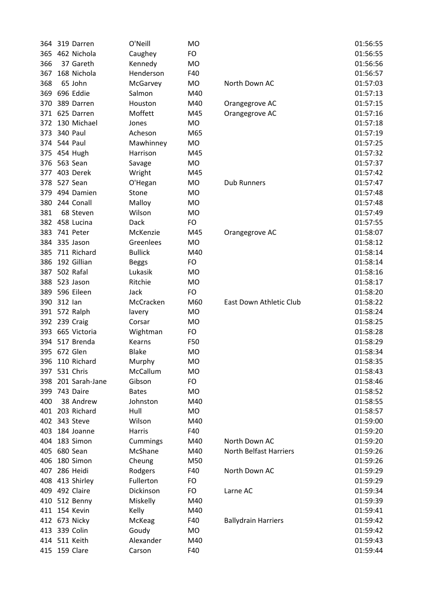| 364 | 319 Darren      | O'Neill        | <b>MO</b> |                               | 01:56:55 |
|-----|-----------------|----------------|-----------|-------------------------------|----------|
| 365 | 462 Nichola     | Caughey        | FO        |                               | 01:56:55 |
| 366 | 37 Gareth       | Kennedy        | <b>MO</b> |                               | 01:56:56 |
| 367 | 168 Nichola     | Henderson      | F40       |                               | 01:56:57 |
| 368 | 65 John         | McGarvey       | MO        | North Down AC                 | 01:57:03 |
|     | 369 696 Eddie   | Salmon         | M40       |                               | 01:57:13 |
| 370 | 389 Darren      | Houston        | M40       | Orangegrove AC                | 01:57:15 |
|     | 371 625 Darren  | Moffett        | M45       | Orangegrove AC                | 01:57:16 |
| 372 | 130 Michael     | Jones          | <b>MO</b> |                               | 01:57:18 |
| 373 | 340 Paul        | Acheson        | M65       |                               | 01:57:19 |
|     | 374 544 Paul    | Mawhinney      | MO        |                               | 01:57:25 |
|     | 375 454 Hugh    | Harrison       | M45       |                               | 01:57:32 |
| 376 | 563 Sean        | Savage         | <b>MO</b> |                               | 01:57:37 |
| 377 | 403 Derek       | Wright         | M45       |                               | 01:57:42 |
| 378 | 527 Sean        | O'Hegan        | <b>MO</b> | <b>Dub Runners</b>            | 01:57:47 |
| 379 | 494 Damien      | Stone          | MO        |                               | 01:57:48 |
| 380 | 244 Conall      | Malloy         | MO        |                               | 01:57:48 |
| 381 | 68 Steven       | Wilson         | <b>MO</b> |                               | 01:57:49 |
|     | 382 458 Lucina  | <b>Dack</b>    | FO        |                               | 01:57:55 |
| 383 | 741 Peter       | McKenzie       | M45       | Orangegrove AC                | 01:58:07 |
|     | 384 335 Jason   | Greenlees      | <b>MO</b> |                               | 01:58:12 |
| 385 | 711 Richard     | <b>Bullick</b> | M40       |                               | 01:58:14 |
| 386 | 192 Gillian     | <b>Beggs</b>   | FO        |                               | 01:58:14 |
| 387 | 502 Rafal       | Lukasik        | <b>MO</b> |                               | 01:58:16 |
| 388 | 523 Jason       | Ritchie        | <b>MO</b> |                               | 01:58:17 |
| 389 | 596 Eileen      | Jack           | FO        |                               | 01:58:20 |
| 390 | 312 lan         | McCracken      | M60       | East Down Athletic Club       | 01:58:22 |
|     | 391 572 Ralph   | lavery         | MO        |                               | 01:58:24 |
|     | 392 239 Craig   | Corsar         | <b>MO</b> |                               | 01:58:25 |
| 393 | 665 Victoria    | Wightman       | FO        |                               | 01:58:28 |
|     | 394 517 Brenda  | Kearns         | F50       |                               | 01:58:29 |
|     | 395 672 Glen    | <b>Blake</b>   | <b>MO</b> |                               | 01:58:34 |
| 396 | 110 Richard     | Murphy         | MO        |                               | 01:58:35 |
|     | 397 531 Chris   | McCallum       | <b>MO</b> |                               | 01:58:43 |
| 398 | 201 Sarah-Jane  | Gibson         | FO        |                               | 01:58:46 |
| 399 | 743 Daire       | <b>Bates</b>   | <b>MO</b> |                               | 01:58:52 |
| 400 | 38 Andrew       | Johnston       | M40       |                               | 01:58:55 |
|     | 401 203 Richard | Hull           | MO        |                               | 01:58:57 |
|     | 402 343 Steve   | Wilson         | M40       |                               | 01:59:00 |
| 403 | 184 Joanne      | Harris         | F40       |                               | 01:59:20 |
| 404 | 183 Simon       | Cummings       | M40       | North Down AC                 | 01:59:20 |
|     | 405 680 Sean    | McShane        | M40       | <b>North Belfast Harriers</b> | 01:59:26 |
| 406 | 180 Simon       | Cheung         | M50       |                               | 01:59:26 |
| 407 | 286 Heidi       | Rodgers        | F40       | North Down AC                 | 01:59:29 |
| 408 | 413 Shirley     | Fullerton      | FO        |                               | 01:59:29 |
|     | 409 492 Claire  | Dickinson      | FO        | Larne AC                      | 01:59:34 |
| 410 | 512 Benny       | Miskelly       | M40       |                               | 01:59:39 |
|     | 411 154 Kevin   | Kelly          | M40       |                               | 01:59:41 |
|     | 412 673 Nicky   | McKeag         | F40       | <b>Ballydrain Harriers</b>    | 01:59:42 |
|     | 413 339 Colin   | Goudy          | MO        |                               | 01:59:42 |
|     | 414 511 Keith   | Alexander      | M40       |                               | 01:59:43 |
|     | 415 159 Clare   | Carson         | F40       |                               | 01:59:44 |
|     |                 |                |           |                               |          |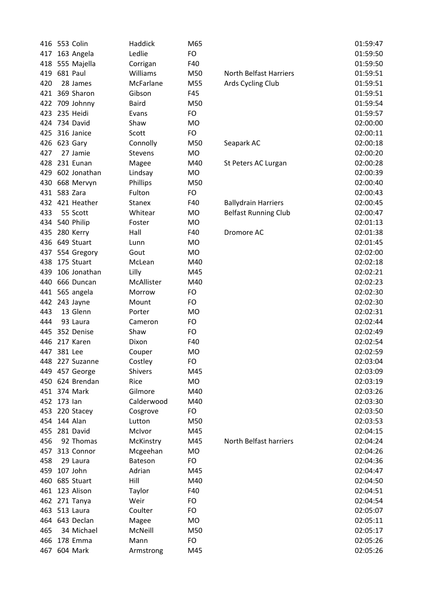| 416 | 553 Colin       | Haddick       | M65       |                             | 01:59:47 |
|-----|-----------------|---------------|-----------|-----------------------------|----------|
| 417 | 163 Angela      | Ledlie        | FO        |                             | 01:59:50 |
| 418 | 555 Majella     | Corrigan      | F40       |                             | 01:59:50 |
| 419 | 681 Paul        | Williams      | M50       | North Belfast Harriers      | 01:59:51 |
| 420 | 28 James        | McFarlane     | M55       | Ards Cycling Club           | 01:59:51 |
|     | 421 369 Sharon  | Gibson        | F45       |                             | 01:59:51 |
|     | 422 709 Johnny  | <b>Baird</b>  | M50       |                             | 01:59:54 |
| 423 | 235 Heidi       | Evans         | FO        |                             | 01:59:57 |
| 424 | 734 David       | Shaw          | <b>MO</b> |                             | 02:00:00 |
| 425 | 316 Janice      | Scott         | FO        |                             | 02:00:11 |
| 426 | 623 Gary        | Connolly      | M50       | Seapark AC                  | 02:00:18 |
| 427 | 27 Jamie        | Stevens       | <b>MO</b> |                             | 02:00:20 |
| 428 | 231 Eunan       | Magee         | M40       | St Peters AC Lurgan         | 02:00:28 |
| 429 | 602 Jonathan    | Lindsay       | MO        |                             | 02:00:39 |
|     | 430 668 Mervyn  | Phillips      | M50       |                             | 02:00:40 |
| 431 | 583 Zara        | Fulton        | FO        |                             | 02:00:43 |
|     | 432 421 Heather | <b>Stanex</b> | F40       | <b>Ballydrain Harriers</b>  | 02:00:45 |
| 433 | 55 Scott        | Whitear       | <b>MO</b> | <b>Belfast Running Club</b> | 02:00:47 |
| 434 | 540 Philip      | Foster        | <b>MO</b> |                             | 02:01:13 |
| 435 | 280 Kerry       | Hall          | F40       | Dromore AC                  | 02:01:38 |
|     | 436 649 Stuart  | Lunn          | <b>MO</b> |                             | 02:01:45 |
| 437 | 554 Gregory     | Gout          | <b>MO</b> |                             | 02:02:00 |
| 438 | 175 Stuart      | McLean        | M40       |                             | 02:02:18 |
| 439 | 106 Jonathan    | Lilly         | M45       |                             | 02:02:21 |
| 440 | 666 Duncan      | McAllister    | M40       |                             | 02:02:23 |
| 441 | 565 angela      | Morrow        | FO        |                             | 02:02:30 |
|     | 442 243 Jayne   | Mount         | FO        |                             | 02:02:30 |
| 443 | 13 Glenn        | Porter        | <b>MO</b> |                             | 02:02:31 |
| 444 | 93 Laura        | Cameron       | FO        |                             | 02:02:44 |
| 445 | 352 Denise      | Shaw          | FO        |                             | 02:02:49 |
| 446 | 217 Karen       | Dixon         | F40       |                             | 02:02:54 |
|     | 447 381 Lee     | Couper        | <b>MO</b> |                             | 02:02:59 |
| 448 | 227 Suzanne     | Costley       | FO        |                             | 02:03:04 |
|     | 449 457 George  | Shivers       | M45       |                             | 02:03:09 |
|     | 450 624 Brendan | Rice          | MO        |                             | 02:03:19 |
|     | 451 374 Mark    | Gilmore       | M40       |                             | 02:03:26 |
|     | 452 173 lan     | Calderwood    | M40       |                             | 02:03:30 |
| 453 | 220 Stacey      | Cosgrove      | FO        |                             | 02:03:50 |
| 454 | 144 Alan        | Lutton        | M50       |                             | 02:03:53 |
| 455 | 281 David       | McIvor        | M45       |                             | 02:04:15 |
| 456 | 92 Thomas       | McKinstry     | M45       | North Belfast harriers      | 02:04:24 |
|     | 457 313 Connor  | Mcgeehan      | <b>MO</b> |                             | 02:04:26 |
| 458 | 29 Laura        | Bateson       | FO        |                             | 02:04:36 |
| 459 | 107 John        | Adrian        | M45       |                             | 02:04:47 |
| 460 | 685 Stuart      | Hill          | M40       |                             | 02:04:50 |
|     | 461 123 Alison  | Taylor        | F40       |                             | 02:04:51 |
|     | 462 271 Tanya   | Weir          | FO        |                             | 02:04:54 |
|     | 463 513 Laura   | Coulter       | FO        |                             | 02:05:07 |
|     | 464 643 Declan  | Magee         | MO        |                             | 02:05:11 |
| 465 | 34 Michael      | McNeill       | M50       |                             | 02:05:17 |
| 466 | 178 Emma        | Mann          | FO        |                             | 02:05:26 |
| 467 | 604 Mark        | Armstrong     | M45       |                             | 02:05:26 |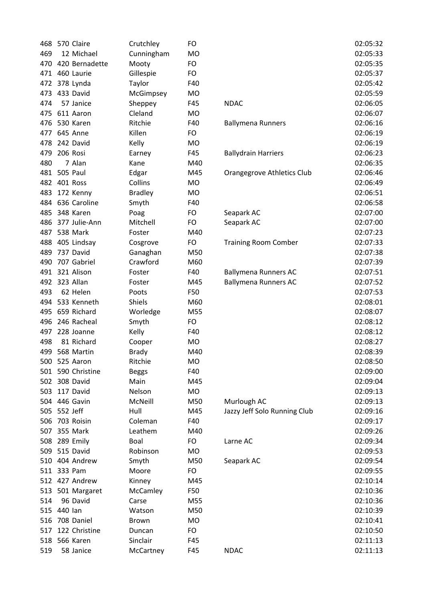| 468 | 570 Claire        | Crutchley      | FO        |                              | 02:05:32 |
|-----|-------------------|----------------|-----------|------------------------------|----------|
| 469 | 12 Michael        | Cunningham     | <b>MO</b> |                              | 02:05:33 |
| 470 | 420 Bernadette    | Mooty          | FO        |                              | 02:05:35 |
| 471 | 460 Laurie        | Gillespie      | FO        |                              | 02:05:37 |
| 472 | 378 Lynda         | Taylor         | F40       |                              | 02:05:42 |
| 473 | 433 David         | McGimpsey      | <b>MO</b> |                              | 02:05:59 |
| 474 | 57 Janice         | Sheppey        | F45       | <b>NDAC</b>                  | 02:06:05 |
| 475 | 611 Aaron         | Cleland        | <b>MO</b> |                              | 02:06:07 |
| 476 | 530 Karen         | Ritchie        | F40       | <b>Ballymena Runners</b>     | 02:06:16 |
| 477 | 645 Anne          | Killen         | <b>FO</b> |                              | 02:06:19 |
| 478 | 242 David         | Kelly          | <b>MO</b> |                              | 02:06:19 |
| 479 | 206 Rosi          | Earney         | F45       | <b>Ballydrain Harriers</b>   | 02:06:23 |
| 480 | 7 Alan            | Kane           | M40       |                              | 02:06:35 |
|     | 481 505 Paul      | Edgar          | M45       | Orangegrove Athletics Club   | 02:06:46 |
| 482 | 401 Ross          | Collins        | <b>MO</b> |                              | 02:06:49 |
| 483 | 172 Kenny         | <b>Bradley</b> | <b>MO</b> |                              | 02:06:51 |
| 484 | 636 Caroline      | Smyth          | F40       |                              | 02:06:58 |
| 485 | 348 Karen         | Poag           | FO        | Seapark AC                   | 02:07:00 |
| 486 | 377 Julie-Ann     | Mitchell       | <b>FO</b> | Seapark AC                   | 02:07:00 |
| 487 | 538 Mark          | Foster         | M40       |                              | 02:07:23 |
| 488 | 405 Lindsay       | Cosgrove       | <b>FO</b> | <b>Training Room Comber</b>  | 02:07:33 |
| 489 | 737 David         | Ganaghan       | M50       |                              | 02:07:38 |
| 490 | 707 Gabriel       | Crawford       | M60       |                              | 02:07:39 |
| 491 | 321 Alison        | Foster         | F40       | <b>Ballymena Runners AC</b>  | 02:07:51 |
| 492 | 323 Allan         | Foster         | M45       | <b>Ballymena Runners AC</b>  | 02:07:52 |
| 493 | 62 Helen          | Poots          | F50       |                              | 02:07:53 |
| 494 | 533 Kenneth       | Shiels         | M60       |                              | 02:08:01 |
| 495 | 659 Richard       | Worledge       | M55       |                              | 02:08:07 |
| 496 | 246 Racheal       | Smyth          | FO        |                              | 02:08:12 |
| 497 | 228 Joanne        | Kelly          | F40       |                              | 02:08:12 |
| 498 | 81 Richard        | Cooper         | <b>MO</b> |                              | 02:08:27 |
| 499 | 568 Martin        | <b>Brady</b>   | M40       |                              | 02:08:39 |
| 500 | 525 Aaron         | Ritchie        | MO        |                              | 02:08:50 |
|     | 501 590 Christine | <b>Beggs</b>   | F40       |                              | 02:09:00 |
|     | 502 308 David     | Main           | M45       |                              | 02:09:04 |
| 503 | 117 David         | Nelson         | <b>MO</b> |                              | 02:09:13 |
|     | 504 446 Gavin     | McNeill        | M50       | Murlough AC                  | 02:09:13 |
|     | 505 552 Jeff      | Hull           | M45       | Jazzy Jeff Solo Running Club | 02:09:16 |
| 506 | 703 Roisin        | Coleman        | F40       |                              | 02:09:17 |
| 507 | 355 Mark          | Leathem        | M40       |                              | 02:09:26 |
|     | 508 289 Emily     | Boal           | FO        | Larne AC                     | 02:09:34 |
|     | 509 515 David     | Robinson       | <b>MO</b> |                              | 02:09:53 |
| 510 | 404 Andrew        | Smyth          | M50       | Seapark AC                   | 02:09:54 |
|     | 511 333 Pam       | Moore          | FO        |                              | 02:09:55 |
|     | 512 427 Andrew    | Kinney         | M45       |                              | 02:10:14 |
| 513 | 501 Margaret      | McCamley       | F50       |                              | 02:10:36 |
| 514 | 96 David          | Carse          | M55       |                              | 02:10:36 |
| 515 | 440 lan           | Watson         | M50       |                              | 02:10:39 |
| 516 | 708 Daniel        | <b>Brown</b>   | <b>MO</b> |                              | 02:10:41 |
| 517 | 122 Christine     | Duncan         | FO        |                              | 02:10:50 |
| 518 | 566 Karen         | Sinclair       | F45       |                              | 02:11:13 |
| 519 | 58 Janice         | McCartney      | F45       | <b>NDAC</b>                  | 02:11:13 |
|     |                   |                |           |                              |          |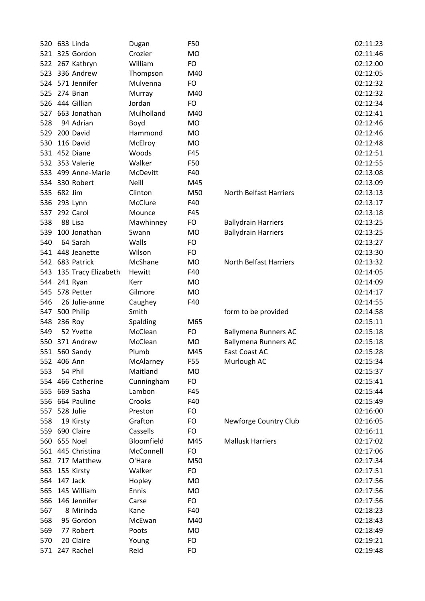|     | 520 633 Linda           | Dugan      | F50       |                             | 02:11:23 |
|-----|-------------------------|------------|-----------|-----------------------------|----------|
|     | 521 325 Gordon          | Crozier    | <b>MO</b> |                             | 02:11:46 |
|     | 522 267 Kathryn         | William    | FO        |                             | 02:12:00 |
|     | 523 336 Andrew          | Thompson   | M40       |                             | 02:12:05 |
|     | 524 571 Jennifer        | Mulvenna   | FO        |                             | 02:12:32 |
| 525 | 274 Brian               | Murray     | M40       |                             | 02:12:32 |
|     | 526 444 Gillian         | Jordan     | FO        |                             | 02:12:34 |
|     | 527 663 Jonathan        | Mulholland | M40       |                             | 02:12:41 |
| 528 | 94 Adrian               | Boyd       | <b>MO</b> |                             | 02:12:46 |
|     | 529 200 David           | Hammond    | <b>MO</b> |                             | 02:12:46 |
| 530 | 116 David               | McElroy    | <b>MO</b> |                             | 02:12:48 |
|     | 531 452 Diane           | Woods      | F45       |                             | 02:12:51 |
|     | 532 353 Valerie         | Walker     | F50       |                             | 02:12:55 |
|     | 533 499 Anne-Marie      | McDevitt   | F40       |                             | 02:13:08 |
|     | 534 330 Robert          | Neill      | M45       |                             | 02:13:09 |
|     | 535 682 Jim             | Clinton    | M50       | North Belfast Harriers      | 02:13:13 |
|     | 536 293 Lynn            | McClure    | F40       |                             | 02:13:17 |
|     | 537 292 Carol           | Mounce     | F45       |                             | 02:13:18 |
| 538 | 88 Lisa                 | Mawhinney  | FO        | <b>Ballydrain Harriers</b>  | 02:13:25 |
| 539 | 100 Jonathan            | Swann      | <b>MO</b> | <b>Ballydrain Harriers</b>  | 02:13:25 |
| 540 | 64 Sarah                | Walls      | FO.       |                             | 02:13:27 |
|     | 541 448 Jeanette        | Wilson     | FO.       |                             | 02:13:30 |
|     | 542 683 Patrick         | McShane    | <b>MO</b> | North Belfast Harriers      | 02:13:32 |
|     | 543 135 Tracy Elizabeth | Hewitt     | F40       |                             | 02:14:05 |
|     | 544 241 Ryan            | Kerr       | <b>MO</b> |                             | 02:14:09 |
| 545 | 578 Petter              | Gilmore    | <b>MO</b> |                             | 02:14:17 |
| 546 | 26 Julie-anne           | Caughey    | F40       |                             | 02:14:55 |
|     | 547 500 Philip          | Smith      |           | form to be provided         | 02:14:58 |
| 548 | 236 Roy                 | Spalding   | M65       |                             | 02:15:11 |
| 549 | 52 Yvette               | McClean    | FO.       | <b>Ballymena Runners AC</b> | 02:15:18 |
|     | 550 371 Andrew          | McClean    | <b>MO</b> | <b>Ballymena Runners AC</b> | 02:15:18 |
|     | 551 560 Sandy           | Plumb      | M45       | East Coast AC               | 02:15:28 |
|     | 552 406 Ann             | McAlarney  | F55       | Murlough AC                 | 02:15:34 |
| 553 | 54 Phil                 | Maitland   | <b>MO</b> |                             | 02:15:37 |
|     | 554 466 Catherine       | Cunningham | FO        |                             | 02:15:41 |
|     | 555 669 Sasha           | Lambon     | F45       |                             | 02:15:44 |
|     | 556 664 Pauline         | Crooks     | F40       |                             | 02:15:49 |
| 557 | 528 Julie               | Preston    | <b>FO</b> |                             | 02:16:00 |
| 558 | 19 Kirsty               | Grafton    | FO        | Newforge Country Club       | 02:16:05 |
|     | 559 690 Claire          | Cassells   | <b>FO</b> |                             | 02:16:11 |
|     | 560 655 Noel            | Bloomfield | M45       | <b>Mallusk Harriers</b>     | 02:17:02 |
|     | 561 445 Christina       | McConnell  | <b>FO</b> |                             | 02:17:06 |
|     | 562 717 Matthew         | O'Hare     | M50       |                             | 02:17:34 |
|     | 563 155 Kirsty          | Walker     | FO        |                             | 02:17:51 |
|     | 564 147 Jack            | Hopley     | <b>MO</b> |                             | 02:17:56 |
| 565 | 145 William             | Ennis      | <b>MO</b> |                             | 02:17:56 |
| 566 | 146 Jennifer            | Carse      | FO        |                             | 02:17:56 |
| 567 | 8 Mirinda               | Kane       | F40       |                             | 02:18:23 |
| 568 | 95 Gordon               | McEwan     | M40       |                             | 02:18:43 |
| 569 | 77 Robert               | Poots      | <b>MO</b> |                             | 02:18:49 |
| 570 | 20 Claire               | Young      | <b>FO</b> |                             | 02:19:21 |
|     | 571 247 Rachel          | Reid       | <b>FO</b> |                             | 02:19:48 |
|     |                         |            |           |                             |          |

|                     | 02:11:23 |
|---------------------|----------|
|                     | 02:11:46 |
|                     | 02:12:00 |
|                     | 02:12:05 |
|                     | 02:12:32 |
|                     | 02:12:32 |
|                     | 02:12:34 |
|                     |          |
|                     | 02:12:41 |
|                     | 02:12:46 |
|                     | 02:12:46 |
|                     | 02:12:48 |
|                     | 02:12:51 |
|                     | 02:12:55 |
|                     | 02:13:08 |
|                     | 02:13:09 |
| th Belfast Harriers | 02:13:13 |
|                     | 02:13:17 |
|                     | 02:13:18 |
| ydrain Harriers     | 02:13:25 |
| ydrain Harriers     | 02:13:25 |
|                     | 02:13:27 |
|                     | 02:13:30 |
| th Belfast Harriers | 02:13:32 |
|                     | 02:14:05 |
|                     | 02:14:09 |
|                     |          |
|                     | 02:14:17 |
|                     | 02:14:55 |
| n to be provided    | 02:14:58 |
|                     | 02:15:11 |
| ymena Runners AC    | 02:15:18 |
| ymena Runners AC    | 02:15:18 |
| t Coast AC          | 02:15:28 |
| rlough AC           | 02:15:34 |
|                     | 02:15:37 |
|                     | 02:15:41 |
|                     | 02:15:44 |
|                     | 02:15:49 |
|                     | 02:16:00 |
| wforge Country Club | 02:16:05 |
|                     | 02:16:11 |
| llusk Harriers      | 02:17:02 |
|                     | 02:17:06 |
|                     | 02:17:34 |
|                     | 02:17:51 |
|                     | 02:17:56 |
|                     | 02:17:56 |
|                     |          |
|                     | 02:17:56 |
|                     | 02:18:23 |
|                     | 02:18:43 |
|                     | 02:18:49 |
|                     | 02:19:21 |
|                     | 02:19:48 |
|                     |          |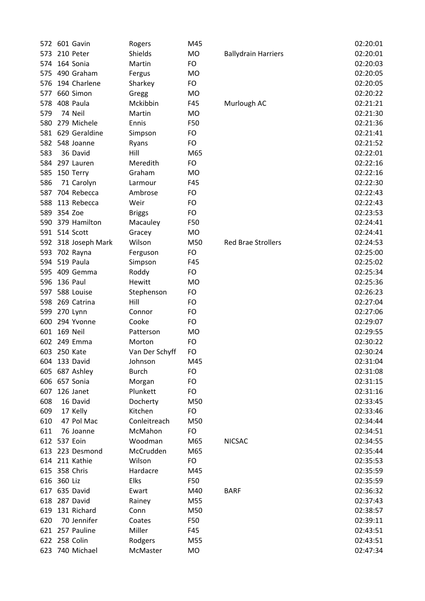|     | 572 601 Gavin       | Rogers         | M45       |                            | 02:20:01 |
|-----|---------------------|----------------|-----------|----------------------------|----------|
| 573 | 210 Peter           | Shields        | <b>MO</b> | <b>Ballydrain Harriers</b> | 02:20:01 |
| 574 | 164 Sonia           | Martin         | FO        |                            | 02:20:03 |
| 575 | 490 Graham          | Fergus         | <b>MO</b> |                            | 02:20:05 |
| 576 | 194 Charlene        | Sharkey        | FO        |                            | 02:20:05 |
| 577 | 660 Simon           | Gregg          | MO        |                            | 02:20:22 |
| 578 | 408 Paula           | Mckibbin       | F45       |                            | 02:21:21 |
| 579 | 74 Neil             | Martin         | MO        | Murlough AC                | 02:21:30 |
|     | 279 Michele         |                |           |                            | 02:21:36 |
| 580 |                     | Ennis          | F50       |                            |          |
|     | 581 629 Geraldine   | Simpson        | FO        |                            | 02:21:41 |
| 582 | 548 Joanne          | Ryans          | FO        |                            | 02:21:52 |
| 583 | 36 David            | Hill           | M65       |                            | 02:22:01 |
| 584 | 297 Lauren          | Meredith       | FO        |                            | 02:22:16 |
| 585 | 150 Terry           | Graham         | <b>MO</b> |                            | 02:22:16 |
| 586 | 71 Carolyn          | Larmour        | F45       |                            | 02:22:30 |
| 587 | 704 Rebecca         | Ambrose        | FO        |                            | 02:22:43 |
| 588 | 113 Rebecca         | Weir           | FO        |                            | 02:22:43 |
| 589 | 354 Zoe             | <b>Briggs</b>  | FO        |                            | 02:23:53 |
| 590 | 379 Hamilton        | Macauley       | F50       |                            | 02:24:41 |
|     | 591 514 Scott       | Gracey         | <b>MO</b> |                            | 02:24:41 |
|     | 592 318 Joseph Mark | Wilson         | M50       | <b>Red Brae Strollers</b>  | 02:24:53 |
| 593 | 702 Rayna           | Ferguson       | FO        |                            | 02:25:00 |
| 594 | 519 Paula           | Simpson        | F45       |                            | 02:25:02 |
| 595 | 409 Gemma           | Roddy          | FO        |                            | 02:25:34 |
| 596 | 136 Paul            | Hewitt         | <b>MO</b> |                            | 02:25:36 |
| 597 | 588 Louise          | Stephenson     | FO        |                            | 02:26:23 |
| 598 | 269 Catrina         | Hill           | FO        |                            | 02:27:04 |
| 599 | 270 Lynn            | Connor         | FO        |                            | 02:27:06 |
| 600 | 294 Yvonne          | Cooke          | FO        |                            | 02:29:07 |
| 601 | 169 Neil            | Patterson      | MO        |                            | 02:29:55 |
|     | 602 249 Emma        | Morton         | FO        |                            | 02:30:22 |
|     | 603 250 Kate        | Van Der Schyff | FO        |                            | 02:30:24 |
| 604 | 133 David           | Johnson        | M45       |                            | 02:31:04 |
|     | 605 687 Ashley      | <b>Burch</b>   | FO        |                            | 02:31:08 |
| 606 | 657 Sonia           | Morgan         | FO        |                            | 02:31:15 |
| 607 | 126 Janet           | Plunkett       | FO        |                            | 02:31:16 |
| 608 | 16 David            | Docherty       | M50       |                            | 02:33:45 |
| 609 | 17 Kelly            | Kitchen        | FO        |                            | 02:33:46 |
| 610 | 47 Pol Mac          | Conleitreach   | M50       |                            | 02:34:44 |
| 611 | 76 Joanne           | McMahon        | FO        |                            | 02:34:51 |
|     | 612 537 Eoin        | Woodman        | M65       | <b>NICSAC</b>              | 02:34:55 |
|     | 613 223 Desmond     | McCrudden      | M65       |                            | 02:35:44 |
|     | 614 211 Kathie      | Wilson         | FO        |                            | 02:35:53 |
|     | 615 358 Chris       | Hardacre       | M45       |                            | 02:35:59 |
|     | 616 360 Liz         | Elks           | F50       |                            | 02:35:59 |
|     | 617 635 David       | Ewart          | M40       | <b>BARF</b>                | 02:36:32 |
|     | 618 287 David       | Rainey         | M55       |                            | 02:37:43 |
| 619 | 131 Richard         | Conn           | M50       |                            | 02:38:57 |
| 620 | 70 Jennifer         | Coates         | F50       |                            | 02:39:11 |
|     | 621 257 Pauline     | Miller         | F45       |                            | 02:43:51 |
|     | 622 258 Colin       | Rodgers        | M55       |                            | 02:43:51 |
| 623 | 740 Michael         | McMaster       | MO        |                            | 02:47:34 |
|     |                     |                |           |                            |          |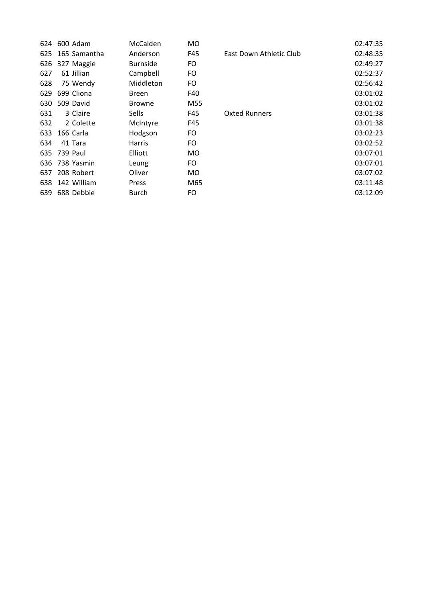| 624 | 600 Adam        | McCalden        | <b>MO</b> |                         | 02:47:35 |
|-----|-----------------|-----------------|-----------|-------------------------|----------|
| 625 | 165 Samantha    | Anderson        | F45       | East Down Athletic Club | 02:48:35 |
| 626 | 327 Maggie      | <b>Burnside</b> | FO.       |                         | 02:49:27 |
| 627 | 61 Jillian      | Campbell        | FO.       |                         | 02:52:37 |
| 628 | 75 Wendy        | Middleton       | FO        |                         | 02:56:42 |
| 629 | 699 Cliona      | Breen           | F40       |                         | 03:01:02 |
|     | 630 509 David   | <b>Browne</b>   | M55       |                         | 03:01:02 |
| 631 | 3 Claire        | <b>Sells</b>    | F45       | <b>Oxted Runners</b>    | 03:01:38 |
| 632 | 2 Colette       | McIntyre        | F45       |                         | 03:01:38 |
| 633 | 166 Carla       | Hodgson         | FO.       |                         | 03:02:23 |
| 634 | 41 Tara         | <b>Harris</b>   | FO.       |                         | 03:02:52 |
|     | 635 739 Paul    | Elliott         | MO.       |                         | 03:07:01 |
|     | 636 738 Yasmin  | Leung           | FO.       |                         | 03:07:01 |
| 637 | 208 Robert      | Oliver          | MO.       |                         | 03:07:02 |
|     | 638 142 William | Press           | M65       |                         | 03:11:48 |
| 639 | 688 Debbie      | Burch           | FO.       |                         | 03:12:09 |
|     |                 |                 |           |                         |          |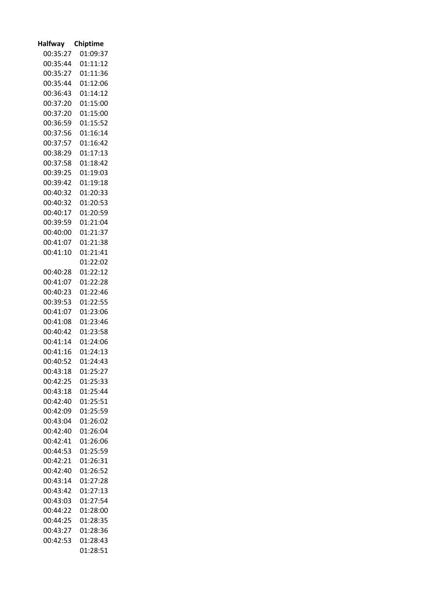| <b>Halfway</b> | Chiptime |
|----------------|----------|
| 00:35:27       | 01:09:37 |
| 00:35:44       | 01:11:12 |
| 00:35:27       | 01:11:36 |
| 00:35:44       | 01:12:06 |
| 00:36:43       | 01:14:12 |
| 00:37:20       | 01:15:00 |
| 00:37:20       | 01:15:00 |
| 00:36:59       | 01:15:52 |
| 00:37:56       | 01:16:14 |
| 00:37:57       | 01:16:42 |
| 00:38:29       | 01:17:13 |
| 00:37:58       | 01:18:42 |
| 00:39:25       | 01:19:03 |
| 00:39:42       | 01:19:18 |
| 00:40:32       | 01:20:33 |
| 00:40:32       | 01:20:53 |
| 00:40:17       | 01:20:59 |
| 00:39:59       | 01:21:04 |
| 00:40:00       | 01:21:37 |
| 00:41:07       | 01:21:38 |
| 00:41:10       | 01:21:41 |
|                | 01:22:02 |
| 00:40:28       | 01:22:12 |
| 00:41:07       | 01:22:28 |
| 00:40:23       | 01:22:46 |
| 00:39:53       | 01:22:55 |
| 00:41:07       | 01:23:06 |
| 00:41:08       | 01:23:46 |
| 00:40:42       | 01:23:58 |
| 00:41:14       | 01:24:06 |
| 00:41:16       | 01:24:13 |
| 00:40:52       | 01:24:43 |
| 00:43:18       | 01:25:27 |
| 00:42:25       | 01:25:33 |
| 00:43:18       | 01:25:44 |
| 00:42:40       | 01:25:51 |
| 00:42:09       | 01:25:59 |
| 00:43:04       | 01:26:02 |
| 00:42:40       | 01:26:04 |
| 00:42:41       | 01:26:06 |
| 00:44:53       | 01:25:59 |
| 00:42:21       | 01:26:31 |
| 00:42:40       | 01:26:52 |
| 00:43:14       | 01:27:28 |
| 00:43:42       | 01:27:13 |
| 00:43:03       | 01:27:54 |
| 00:44:22       | 01:28:00 |
| 00:44:25       | 01:28:35 |
| 00:43:27       | 01:28:36 |
| 00:42:53       | 01:28:43 |
|                | 01:28:51 |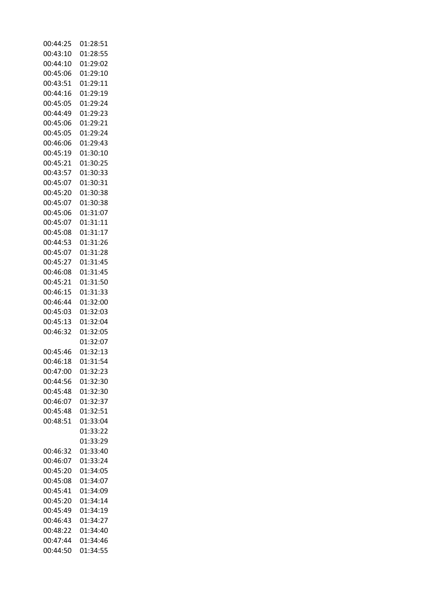| 00:44:25 | 01:28:51 |
|----------|----------|
| 00:43:10 | 01:28:55 |
| 00:44:10 | 01:29:02 |
| 00:45:06 | 01:29:10 |
| 00:43:51 | 01:29:11 |
| 00:44:16 | 01:29:19 |
| 00:45:05 | 01:29:24 |
| 00:44:49 | 01:29:23 |
| 00:45:06 | 01:29:21 |
| 00:45:05 | 01:29:24 |
|          |          |
| 00:46:06 | 01:29:43 |
| 00:45:19 | 01:30:10 |
| 00:45:21 | 01:30:25 |
| 00:43:57 | 01:30:33 |
| 00:45:07 | 01:30:31 |
| 00:45:20 | 01:30:38 |
| 00:45:07 | 01:30:38 |
| 00:45:06 | 01:31:07 |
| 00:45:07 | 01:31:11 |
| 00:45:08 | 01:31:17 |
| 00:44:53 | 01:31:26 |
| 00:45:07 | 01:31:28 |
| 00:45:27 | 01:31:45 |
| 00:46:08 | 01:31:45 |
| 00:45:21 | 01:31:50 |
| 00:46:15 | 01:31:33 |
|          |          |
| 00:46:44 | 01:32:00 |
| 00:45:03 | 01:32:03 |
| 00:45:13 | 01:32:04 |
| 00:46:32 | 01:32:05 |
|          | 01:32:07 |
| 00:45:46 | 01:32:13 |
| 00:46:18 | 01:31:54 |
| 00:47:00 | 01:32:23 |
| 00:44:56 | 01:32:30 |
| 00:45:48 | 01:32:30 |
| 00:46:07 | 01:32:37 |
| 00:45:48 | 01:32:51 |
| 00:48:51 | 01:33:04 |
|          | 01:33:22 |
|          | 01:33:29 |
| 00:46:32 | 01:33:40 |
| 00:46:07 | 01:33:24 |
|          |          |
| 00:45:20 | 01:34:05 |
| 00:45:08 | 01:34:07 |
| 00:45:41 | 01:34:09 |
| 00:45:20 | 01:34:14 |
| 00:45:49 | 01:34:19 |
| 00:46:43 | 01:34:27 |
| 00:48:22 | 01:34:40 |
| 00:47:44 | 01:34:46 |
| 00:44:50 | 01:34:55 |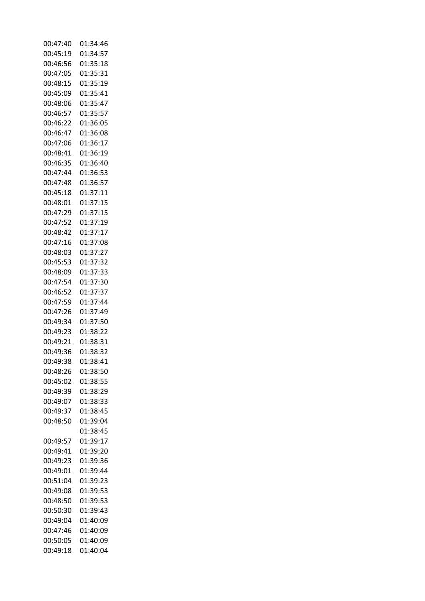| 00:47:40 | 01:34:46 |
|----------|----------|
| 00:45:19 | 01:34:57 |
| 00:46:56 | 01:35:18 |
| 00:47:05 | 01:35:31 |
| 00:48:15 | 01:35:19 |
| 00:45:09 | 01:35:41 |
| 00:48:06 | 01:35:47 |
| 00:46:57 | 01:35:57 |
| 00:46:22 | 01:36:05 |
| 00:46:47 | 01:36:08 |
| 00:47:06 | 01:36:17 |
| 00:48:41 | 01:36:19 |
| 00:46:35 | 01:36:40 |
| 00:47:44 | 01:36:53 |
| 00:47:48 | 01:36:57 |
| 00:45:18 | 01:37:11 |
|          |          |
| 00:48:01 | 01:37:15 |
| 00:47:29 | 01:37:15 |
| 00:47:52 | 01:37:19 |
| 00:48:42 | 01:37:17 |
| 00:47:16 | 01:37:08 |
| 00:48:03 | 01:37:27 |
| 00:45:53 | 01:37:32 |
| 00:48:09 | 01:37:33 |
| 00:47:54 | 01:37:30 |
| 00:46:52 | 01:37:37 |
| 00:47:59 | 01:37:44 |
| 00:47:26 | 01:37:49 |
| 00:49:34 | 01:37:50 |
| 00:49:23 | 01:38:22 |
| 00:49:21 | 01:38:31 |
| 00:49:36 | 01:38:32 |
| 00:49:38 | 01:38:41 |
| 00:48:26 | 01:38:50 |
| 00:45:02 | 01:38:55 |
| 00:49:39 | 01:38:29 |
| 00:49:07 | 01:38:33 |
| 00:49:37 | 01:38:45 |
| 00:48:50 | 01:39:04 |
|          | 01:38:45 |
| 00:49:57 | 01:39:17 |
| 00:49:41 | 01:39:20 |
| 00:49:23 | 01:39:36 |
| 00:49:01 | 01:39:44 |
| 00:51:04 | 01:39:23 |
| 00:49:08 | 01:39:53 |
| 00:48:50 | 01:39:53 |
| 00:50:30 | 01:39:43 |
| 00:49:04 | 01:40:09 |
| 00:47:46 | 01:40:09 |
| 00:50:05 | 01:40:09 |
| 00:49:18 | 01:40:04 |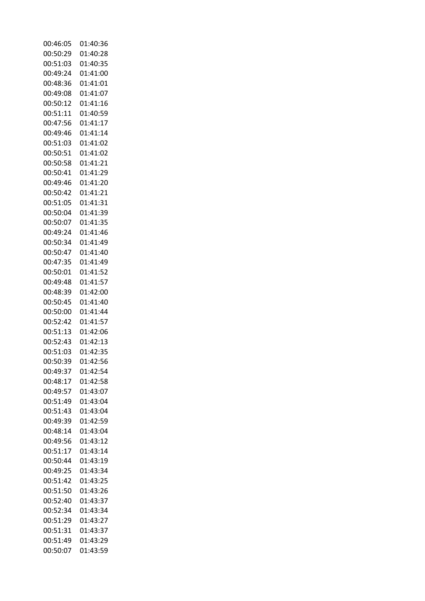| 00:46:05 | 01:40:36 |
|----------|----------|
| 00:50:29 | 01:40:28 |
| 00:51:03 | 01:40:35 |
| 00:49:24 | 01:41:00 |
| 00:48:36 | 01:41:01 |
| 00:49:08 | 01:41:07 |
| 00:50:12 | 01:41:16 |
| 00:51:11 | 01:40:59 |
| 00:47:56 | 01:41:17 |
| 00:49:46 | 01:41:14 |
| 00:51:03 | 01:41:02 |
| 00:50:51 | 01:41:02 |
| 00:50:58 | 01:41:21 |
|          |          |
| 00:50:41 | 01:41:29 |
| 00:49:46 | 01:41:20 |
| 00:50:42 | 01:41:21 |
| 00:51:05 | 01:41:31 |
| 00:50:04 | 01:41:39 |
| 00:50:07 | 01:41:35 |
| 00:49:24 | 01:41:46 |
| 00:50:34 | 01:41:49 |
| 00:50:47 | 01:41:40 |
| 00:47:35 | 01:41:49 |
| 00:50:01 | 01:41:52 |
| 00:49:48 | 01:41:57 |
| 00:48:39 | 01:42:00 |
| 00:50:45 | 01:41:40 |
| 00:50:00 | 01:41:44 |
| 00:52:42 | 01:41:57 |
| 00:51:13 | 01:42:06 |
| 00:52:43 | 01:42:13 |
| 00:51:03 | 01:42:35 |
| 00:50:39 | 01:42:56 |
| 00:49:37 | 01:42:54 |
| 00:48:17 | 01:42:58 |
| 00:49:57 | 01:43:07 |
| 00:51:49 | 01:43:04 |
| 00:51:43 | 01:43:04 |
| 00:49:39 | 01:42:59 |
| 00:48:14 | 01:43:04 |
| 00:49:56 | 01:43:12 |
| 00:51:17 | 01:43:14 |
| 00:50:44 |          |
|          | 01:43:19 |
| 00:49:25 | 01:43:34 |
| 00:51:42 | 01:43:25 |
| 00:51:50 | 01:43:26 |
| 00:52:40 | 01:43:37 |
| 00:52:34 | 01:43:34 |
| 00:51:29 | 01:43:27 |
| 00:51:31 | 01:43:37 |
| 00:51:49 | 01:43:29 |
| 00:50:07 | 01:43:59 |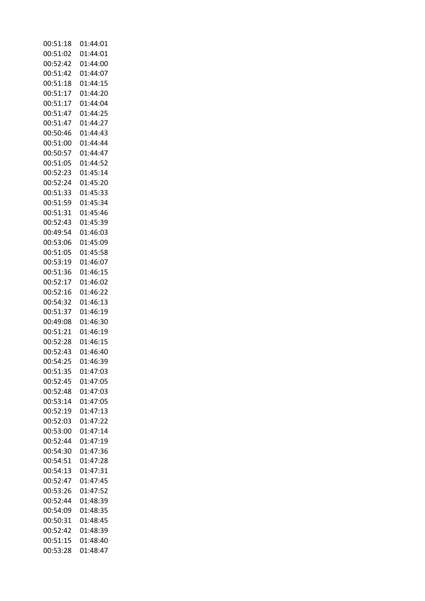| 00:51:18 | 01:44:01 |
|----------|----------|
| 00:51:02 | 01:44:01 |
| 00:52:42 | 01:44:00 |
| 00:51:42 | 01:44:07 |
| 00:51:18 | 01:44:15 |
| 00:51:17 | 01:44:20 |
| 00:51:17 | 01:44:04 |
| 00:51:47 | 01:44:25 |
| 00:51:47 | 01:44:27 |
| 00:50:46 |          |
|          | 01:44:43 |
| 00:51:00 | 01:44:44 |
| 00:50:57 | 01:44:47 |
| 00:51:05 | 01:44:52 |
| 00:52:23 | 01:45:14 |
| 00:52:24 | 01:45:20 |
| 00:51:33 | 01:45:33 |
| 00:51:59 | 01:45:34 |
| 00:51:31 | 01:45:46 |
| 00:52:43 | 01:45:39 |
| 00:49:54 | 01:46:03 |
| 00:53:06 | 01:45:09 |
| 00:51:05 | 01:45:58 |
| 00:53:19 | 01:46:07 |
| 00:51:36 | 01:46:15 |
| 00:52:17 |          |
|          | 01:46:02 |
| 00:52:16 | 01:46:22 |
| 00:54:32 | 01:46:13 |
| 00:51:37 | 01:46:19 |
| 00:49:08 | 01:46:30 |
| 00:51:21 | 01:46:19 |
| 00:52:28 | 01:46:15 |
| 00:52:43 | 01:46:40 |
| 00:54:25 | 01:46:39 |
| 00:51:35 | 01:47:03 |
| 00:52:45 | 01:47:05 |
| 00:52:48 | 01:47:03 |
| 00:53:14 | 01:47:05 |
| 00:52:19 | 01:47:13 |
| 00:52:03 | 01:47:22 |
| 00:53:00 | 01:47:14 |
| 00:52:44 | 01:47:19 |
|          |          |
| 00:54:30 | 01:47:36 |
| 00:54:51 | 01:47:28 |
| 00:54:13 | 01:47:31 |
| 00:52:47 | 01:47:45 |
| 00:53:26 | 01:47:52 |
| 00:52:44 | 01:48:39 |
| 00:54:09 | 01:48:35 |
| 00:50:31 | 01:48:45 |
| 00:52:42 | 01:48:39 |
| 00:51:15 | 01:48:40 |
| 00:53:28 | 01:48:47 |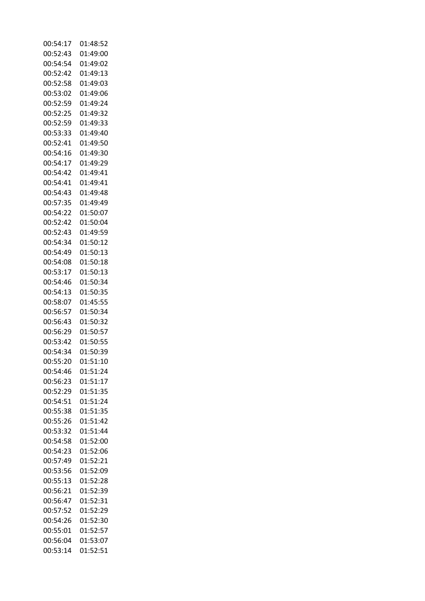| 00:54:17 | 01:48:52 |
|----------|----------|
| 00:52:43 | 01:49:00 |
| 00:54:54 | 01:49:02 |
| 00:52:42 | 01:49:13 |
| 00:52:58 | 01:49:03 |
| 00:53:02 | 01:49:06 |
| 00:52:59 | 01:49:24 |
| 00:52:25 | 01:49:32 |
| 00:52:59 | 01:49:33 |
| 00:53:33 | 01:49:40 |
|          |          |
| 00:52:41 | 01:49:50 |
| 00:54:16 | 01:49:30 |
| 00:54:17 | 01:49:29 |
| 00:54:42 | 01:49:41 |
| 00:54:41 | 01:49:41 |
| 00:54:43 | 01:49:48 |
| 00:57:35 | 01:49:49 |
| 00:54:22 | 01:50:07 |
| 00:52:42 | 01:50:04 |
| 00:52:43 | 01:49:59 |
| 00:54:34 | 01:50:12 |
| 00:54:49 | 01:50:13 |
| 00:54:08 | 01:50:18 |
| 00:53:17 | 01:50:13 |
| 00:54:46 | 01:50:34 |
|          |          |
| 00:54:13 | 01:50:35 |
| 00:58:07 | 01:45:55 |
| 00:56:57 | 01:50:34 |
| 00:56:43 | 01:50:32 |
| 00:56:29 | 01:50:57 |
| 00:53:42 | 01:50:55 |
| 00:54:34 | 01:50:39 |
| 00:55:20 | 01:51:10 |
| 00:54:46 | 01:51:24 |
| 00:56:23 | 01:51:17 |
| 00:52:29 | 01:51:35 |
| 00:54:51 | 01:51:24 |
| 00:55:38 | 01:51:35 |
| 00:55:26 | 01:51:42 |
| 00:53:32 | 01:51:44 |
| 00:54:58 | 01:52:00 |
| 00:54:23 | 01:52:06 |
|          |          |
| 00:57:49 | 01:52:21 |
| 00:53:56 | 01:52:09 |
| 00:55:13 | 01:52:28 |
| 00:56:21 | 01:52:39 |
| 00:56:47 | 01:52:31 |
| 00:57:52 | 01:52:29 |
| 00:54:26 | 01:52:30 |
| 00:55:01 | 01:52:57 |
| 00:56:04 | 01:53:07 |
| 00:53:14 | 01:52:51 |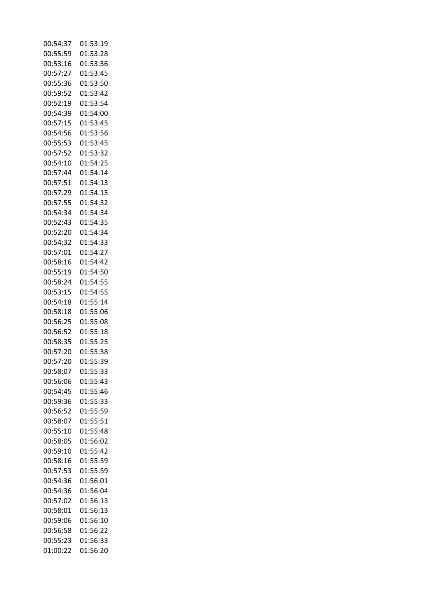| 00:54:37 | 01:53:19 |
|----------|----------|
| 00:55:59 | 01:53:28 |
| 00:53:16 | 01:53:36 |
| 00:57:27 | 01:53:45 |
| 00:55:36 | 01:53:50 |
| 00:59:52 | 01:53:42 |
| 00:52:19 | 01:53:54 |
| 00:54:39 | 01:54:00 |
| 00:57:15 | 01:53:45 |
| 00:54:56 | 01:53:56 |
| 00:55:53 | 01:53:45 |
| 00:57:52 | 01:53:32 |
|          |          |
| 00:54:10 | 01:54:25 |
| 00:57:44 | 01:54:14 |
| 00:57:51 | 01:54:13 |
| 00:57:29 | 01:54:15 |
| 00:57:55 | 01:54:32 |
| 00:54:34 | 01:54:34 |
| 00:52:43 | 01:54:35 |
| 00:52:20 | 01:54:34 |
| 00:54:32 | 01:54:33 |
| 00:57:01 | 01:54:27 |
| 00:58:16 | 01:54:42 |
| 00:55:19 | 01:54:50 |
| 00:58:24 | 01:54:55 |
| 00:53:15 | 01:54:55 |
| 00:54:18 | 01:55:14 |
| 00:58:18 | 01:55:06 |
| 00:56:25 | 01:55:08 |
| 00:56:52 | 01:55:18 |
| 00:58:35 | 01:55:25 |
| 00:57:20 | 01:55:38 |
| 00:57:20 | 01:55:39 |
| 00:58:07 | 01:55:33 |
| 00:56:06 | 01:55:43 |
| 00:54:45 | 01:55:46 |
| 00:59:36 | 01:55:33 |
| 00:56:52 | 01:55:59 |
| 00:58:07 | 01:55:51 |
| 00:55:10 | 01:55:48 |
| 00:58:05 | 01:56:02 |
| 00:59:10 | 01:55:42 |
| 00:58:16 | 01:55:59 |
| 00:57:53 | 01:55:59 |
| 00:54:36 | 01:56:01 |
| 00:54:36 | 01:56:04 |
| 00:57:02 | 01:56:13 |
| 00:58:01 | 01:56:13 |
| 00:59:06 | 01:56:10 |
| 00:56:58 | 01:56:22 |
| 00:55:23 | 01:56:33 |
| 01:00:22 | 01:56:20 |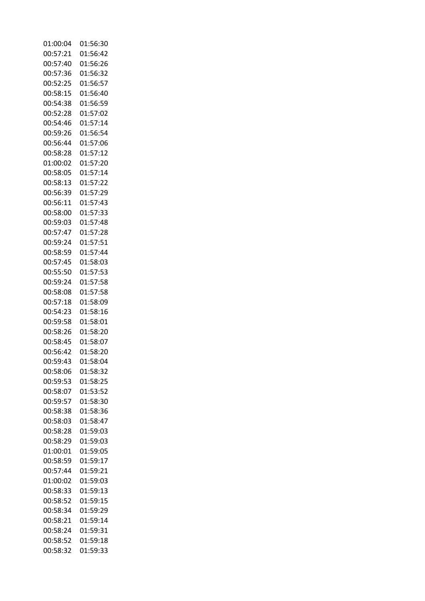| 01:00:04 | 01:56:30 |
|----------|----------|
| 00:57:21 | 01:56:42 |
| 00:57:40 | 01:56:26 |
| 00:57:36 | 01:56:32 |
| 00:52:25 | 01:56:57 |
| 00:58:15 | 01:56:40 |
| 00:54:38 | 01:56:59 |
| 00:52:28 | 01:57:02 |
| 00:54:46 | 01:57:14 |
|          |          |
| 00:59:26 | 01:56:54 |
| 00:56:44 | 01:57:06 |
| 00:58:28 | 01:57:12 |
| 01:00:02 | 01:57:20 |
| 00:58:05 | 01:57:14 |
| 00:58:13 | 01:57:22 |
| 00:56:39 | 01:57:29 |
| 00:56:11 | 01:57:43 |
| 00:58:00 | 01:57:33 |
| 00:59:03 | 01:57:48 |
| 00:57:47 | 01:57:28 |
| 00:59:24 | 01:57:51 |
| 00:58:59 | 01:57:44 |
| 00:57:45 | 01:58:03 |
| 00:55:50 | 01:57:53 |
| 00:59:24 | 01:57:58 |
|          |          |
| 00:58:08 | 01:57:58 |
| 00:57:18 | 01:58:09 |
| 00:54:23 | 01:58:16 |
| 00:59:58 | 01:58:01 |
| 00:58:26 | 01:58:20 |
| 00:58:45 | 01:58:07 |
| 00:56:42 | 01:58:20 |
| 00:59:43 | 01:58:04 |
| 00:58:06 | 01:58:32 |
| 00:59:53 | 01:58:25 |
| 00:58:07 | 01:53:52 |
| 00:59:57 | 01:58:30 |
| 00:58:38 | 01:58:36 |
| 00:58:03 | 01:58:47 |
| 00:58:28 | 01:59:03 |
| 00:58:29 | 01:59:03 |
|          | 01:59:05 |
| 01:00:01 |          |
| 00:58:59 | 01:59:17 |
| 00:57:44 | 01:59:21 |
| 01:00:02 | 01:59:03 |
| 00:58:33 | 01:59:13 |
| 00:58:52 | 01:59:15 |
| 00:58:34 | 01:59:29 |
| 00:58:21 | 01:59:14 |
| 00:58:24 | 01:59:31 |
| 00:58:52 | 01:59:18 |
| 00:58:32 | 01:59:33 |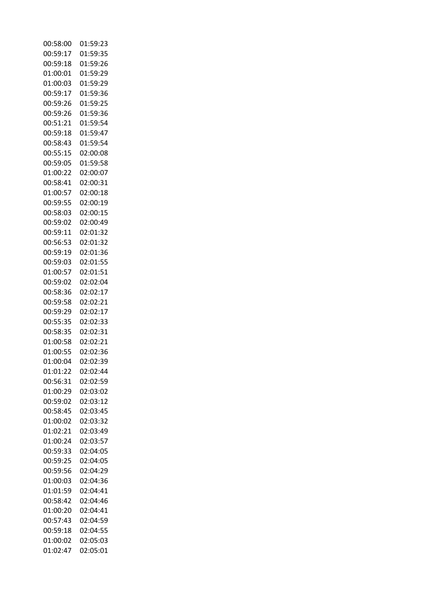| 00:58:00 | 01:59:23 |
|----------|----------|
| 00:59:17 | 01:59:35 |
| 00:59:18 | 01:59:26 |
| 01:00:01 | 01:59:29 |
| 01:00:03 | 01:59:29 |
| 00:59:17 | 01:59:36 |
| 00:59:26 | 01:59:25 |
| 00:59:26 | 01:59:36 |
| 00:51:21 | 01:59:54 |
| 00:59:18 | 01:59:47 |
| 00:58:43 | 01:59:54 |
| 00:55:15 | 02:00:08 |
|          | 01:59:58 |
| 00:59:05 |          |
| 01:00:22 | 02:00:07 |
| 00:58:41 | 02:00:31 |
| 01:00:57 | 02:00:18 |
| 00:59:55 | 02:00:19 |
| 00:58:03 | 02:00:15 |
| 00:59:02 | 02:00:49 |
| 00:59:11 | 02:01:32 |
| 00:56:53 | 02:01:32 |
| 00:59:19 | 02:01:36 |
| 00:59:03 | 02:01:55 |
| 01:00:57 | 02:01:51 |
| 00:59:02 | 02:02:04 |
| 00:58:36 | 02:02:17 |
| 00:59:58 | 02:02:21 |
| 00:59:29 | 02:02:17 |
| 00:55:35 | 02:02:33 |
| 00:58:35 | 02:02:31 |
| 01:00:58 | 02:02:21 |
| 01:00:55 | 02:02:36 |
| 01:00:04 | 02:02:39 |
| 01:01:22 | 02:02:44 |
| 00:56:31 | 02:02:59 |
| 01:00:29 | 02:03:02 |
| 00:59:02 | 02:03:12 |
| 00:58:45 | 02:03:45 |
| 01:00:02 | 02:03:32 |
| 01:02:21 | 02:03:49 |
| 01:00:24 | 02:03:57 |
| 00:59:33 | 02:04:05 |
| 00:59:25 | 02:04:05 |
| 00:59:56 | 02:04:29 |
| 01:00:03 | 02:04:36 |
| 01:01:59 | 02:04:41 |
| 00:58:42 | 02:04:46 |
| 01:00:20 | 02:04:41 |
| 00:57:43 | 02:04:59 |
| 00:59:18 | 02:04:55 |
| 01:00:02 | 02:05:03 |
| 01:02:47 | 02:05:01 |
|          |          |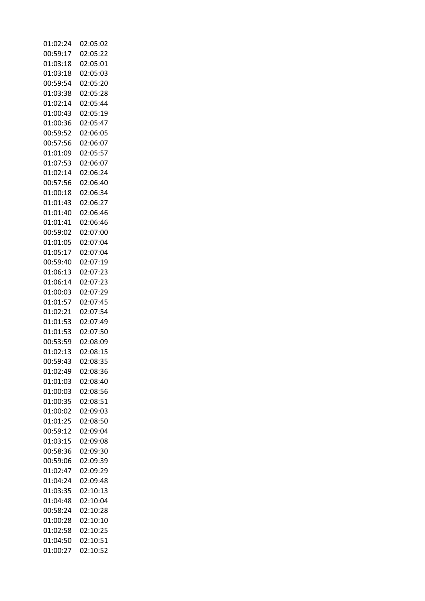| 01:02:24 | 02:05:02 |
|----------|----------|
| 00:59:17 | 02:05:22 |
| 01:03:18 | 02:05:01 |
| 01:03:18 | 02:05:03 |
| 00:59:54 | 02:05:20 |
| 01:03:38 | 02:05:28 |
| 01:02:14 | 02:05:44 |
| 01:00:43 | 02:05:19 |
| 01:00:36 | 02:05:47 |
| 00:59:52 | 02:06:05 |
| 00:57:56 | 02:06:07 |
| 01:01:09 | 02:05:57 |
| 01:07:53 | 02:06:07 |
|          |          |
| 01:02:14 | 02:06:24 |
| 00:57:56 | 02:06:40 |
| 01:00:18 | 02:06:34 |
| 01:01:43 | 02:06:27 |
| 01:01:40 | 02:06:46 |
| 01:01:41 | 02:06:46 |
| 00:59:02 | 02:07:00 |
| 01:01:05 | 02:07:04 |
| 01:05:17 | 02:07:04 |
| 00:59:40 | 02:07:19 |
| 01:06:13 | 02:07:23 |
| 01:06:14 | 02:07:23 |
| 01:00:03 | 02:07:29 |
| 01:01:57 | 02:07:45 |
| 01:02:21 | 02:07:54 |
| 01:01:53 | 02:07:49 |
| 01:01:53 | 02:07:50 |
| 00:53:59 | 02:08:09 |
| 01:02:13 | 02:08:15 |
| 00:59:43 | 02:08:35 |
| 01:02:49 | 02:08:36 |
| 01:01:03 | 02:08:40 |
| 01:00:03 | 02:08:56 |
| 01:00:35 | 02:08:51 |
| 01:00:02 | 02:09:03 |
| 01:01:25 | 02:08:50 |
| 00:59:12 | 02:09:04 |
| 01:03:15 | 02:09:08 |
| 00:58:36 | 02:09:30 |
| 00:59:06 | 02:09:39 |
| 01:02:47 | 02:09:29 |
| 01:04:24 | 02:09:48 |
| 01:03:35 | 02:10:13 |
| 01:04:48 | 02:10:04 |
| 00:58:24 | 02:10:28 |
| 01:00:28 | 02:10:10 |
| 01:02:58 | 02:10:25 |
| 01:04:50 | 02:10:51 |
| 01:00:27 | 02:10:52 |
|          |          |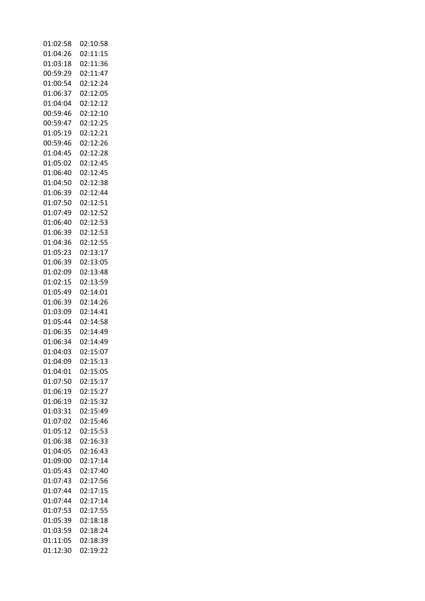| 01:02:58 | 02:10:58 |
|----------|----------|
| 01:04:26 | 02:11:15 |
| 01:03:18 | 02:11:36 |
| 00:59:29 | 02:11:47 |
| 01:00:54 | 02:12:24 |
| 01:06:37 | 02:12:05 |
| 01:04:04 | 02:12:12 |
| 00:59:46 | 02:12:10 |
| 00:59:47 | 02:12:25 |
| 01:05:19 | 02:12:21 |
| 00:59:46 | 02:12:26 |
|          |          |
| 01:04:45 | 02:12:28 |
| 01:05:02 | 02:12:45 |
| 01:06:40 | 02:12:45 |
| 01:04:50 | 02:12:38 |
| 01:06:39 | 02:12:44 |
| 01:07:50 | 02:12:51 |
| 01:07:49 | 02:12:52 |
| 01:06:40 | 02:12:53 |
| 01:06:39 | 02:12:53 |
| 01:04:36 | 02:12:55 |
| 01:05:23 | 02:13:17 |
| 01:06:39 | 02:13:05 |
| 01:02:09 | 02:13:48 |
| 01:02:15 | 02:13:59 |
| 01:05:49 | 02:14:01 |
| 01:06:39 | 02:14:26 |
| 01:03:09 | 02:14:41 |
| 01:05:44 | 02:14:58 |
| 01:06:35 | 02:14:49 |
| 01:06:34 | 02:14:49 |
| 01:04:03 | 02:15:07 |
| 01:04:09 | 02:15:13 |
|          |          |
| 01:04:01 | 02:15:05 |
| 01:07:50 | 02:15:17 |
| 01:06:19 | 02:15:27 |
| 01:06:19 | 02:15:32 |
| 01:03:31 | 02:15:49 |
| 01:07:02 | 02:15:46 |
| 01:05:12 | 02:15:53 |
| 01:06:38 | 02:16:33 |
| 01:04:05 | 02:16:43 |
| 01:09:00 | 02:17:14 |
| 01:05:43 | 02:17:40 |
| 01:07:43 | 02:17:56 |
| 01:07:44 | 02:17:15 |
| 01:07:44 | 02:17:14 |
| 01:07:53 | 02:17:55 |
| 01:05:39 | 02:18:18 |
| 01:03:59 | 02:18:24 |
| 01:11:05 | 02:18:39 |
| 01:12:30 | 02:19:22 |
|          |          |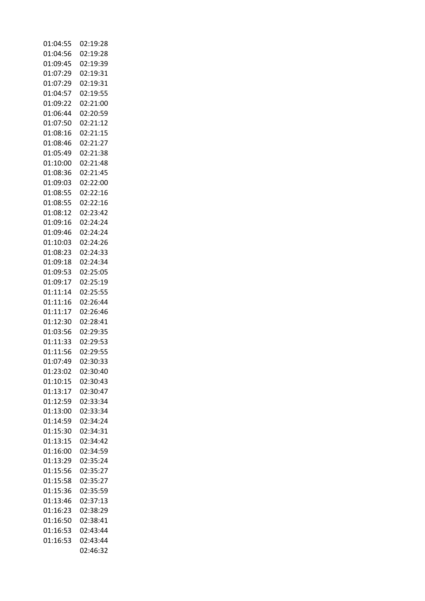| 01:04:55 | 02:19:28 |
|----------|----------|
| 01:04:56 | 02:19:28 |
| 01:09:45 | 02:19:39 |
| 01:07:29 | 02:19:31 |
| 01:07:29 | 02:19:31 |
| 01:04:57 | 02:19:55 |
| 01:09:22 | 02:21:00 |
| 01:06:44 | 02:20:59 |
| 01:07:50 | 02:21:12 |
| 01:08:16 | 02:21:15 |
| 01:08:46 |          |
|          | 02:21:27 |
| 01:05:49 | 02:21:38 |
| 01:10:00 | 02:21:48 |
| 01:08:36 | 02:21:45 |
| 01:09:03 | 02:22:00 |
| 01:08:55 | 02:22:16 |
| 01:08:55 | 02:22:16 |
| 01:08:12 | 02:23:42 |
| 01:09:16 | 02:24:24 |
| 01:09:46 | 02:24:24 |
| 01:10:03 | 02:24:26 |
| 01:08:23 | 02:24:33 |
| 01:09:18 | 02:24:34 |
| 01:09:53 | 02:25:05 |
| 01:09:17 | 02:25:19 |
| 01:11:14 | 02:25:55 |
| 01:11:16 | 02:26:44 |
| 01:11:17 | 02:26:46 |
| 01:12:30 | 02:28:41 |
| 01:03:56 |          |
|          | 02:29:35 |
| 01:11:33 | 02:29:53 |
| 01:11:56 | 02:29:55 |
| 01:07:49 | 02:30:33 |
| 01:23:02 | 02:30:40 |
| 01:10:15 | 02:30:43 |
| 01:13:17 | 02:30:47 |
| 01:12:59 | 02:33:34 |
| 01:13:00 | 02:33:34 |
| 01:14:59 | 02:34:24 |
| 01:15:30 | 02:34:31 |
| 01:13:15 | 02:34:42 |
| 01:16:00 | 02:34:59 |
| 01:13:29 | 02:35:24 |
| 01:15:56 | 02:35:27 |
| 01:15:58 | 02:35:27 |
| 01:15:36 | 02:35:59 |
| 01:13:46 | 02:37:13 |
| 01:16:23 | 02:38:29 |
| 01:16:50 | 02:38:41 |
| 01:16:53 | 02:43:44 |
| 01:16:53 | 02:43:44 |
|          |          |
|          | 02:46:32 |